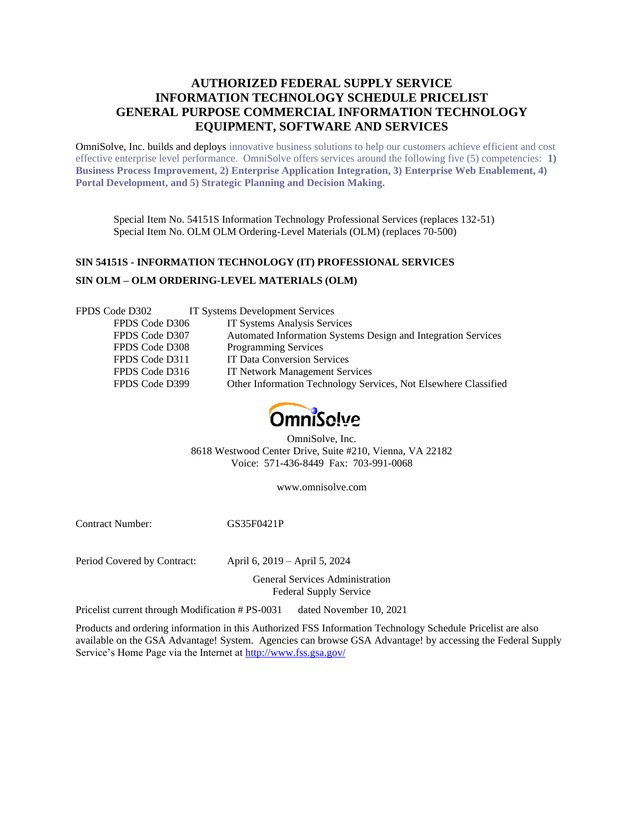# **AUTHORIZED FEDERAL SUPPLY SERVICE INFORMATION TECHNOLOGY SCHEDULE PRICELIST GENERAL PURPOSE COMMERCIAL INFORMATION TECHNOLOGY EQUIPMENT, SOFTWARE AND SERVICES**

OmniSolve, Inc. builds and deploys innovative business solutions to help our customers achieve efficient and cost effective enterprise level performance. OmniSolve offers services around the following five (5) competencies: **1) Business Process Improvement, 2) Enterprise Application Integration, 3) Enterprise Web Enablement, 4) Portal Development, and 5) Strategic Planning and Decision Making.**

Special Item No. 54151S Information Technology Professional Services (replaces 132-51) Special Item No. OLM OLM Ordering-Level Materials (OLM) (replaces 70-500)

# **SIN 54151S - INFORMATION TECHNOLOGY (IT) PROFESSIONAL SERVICES SIN OLM – OLM ORDERING-LEVEL MATERIALS (OLM)**

| FPDS Code D302 | IT Systems Development Services                                 |
|----------------|-----------------------------------------------------------------|
| FPDS Code D306 | IT Systems Analysis Services                                    |
| FPDS Code D307 | Automated Information Systems Design and Integration Services   |
| FPDS Code D308 | <b>Programming Services</b>                                     |
| FPDS Code D311 | <b>IT Data Conversion Services</b>                              |
| FPDS Code D316 | <b>IT Network Management Services</b>                           |
| FPDS Code D399 | Other Information Technology Services, Not Elsewhere Classified |
|                |                                                                 |



OmniSolve, Inc. 8618 Westwood Center Drive, Suite #210, Vienna, VA 22182 Voice: 571-436-8449 Fax: 703-991-0068

www.omnisolve.com

Contract Number: GS35F0421P

Period Covered by Contract: April 6, 2019 – April 5, 2024

General Services Administration Federal Supply Service

Pricelist current through Modification # PS-0031dated November 10, 2021

Products and ordering information in this Authorized FSS Information Technology Schedule Pricelist are also available on the GSA Advantage! System. Agencies can browse GSA Advantage! by accessing the Federal Supply Service's Home Page via the Internet at<http://www.fss.gsa.gov/>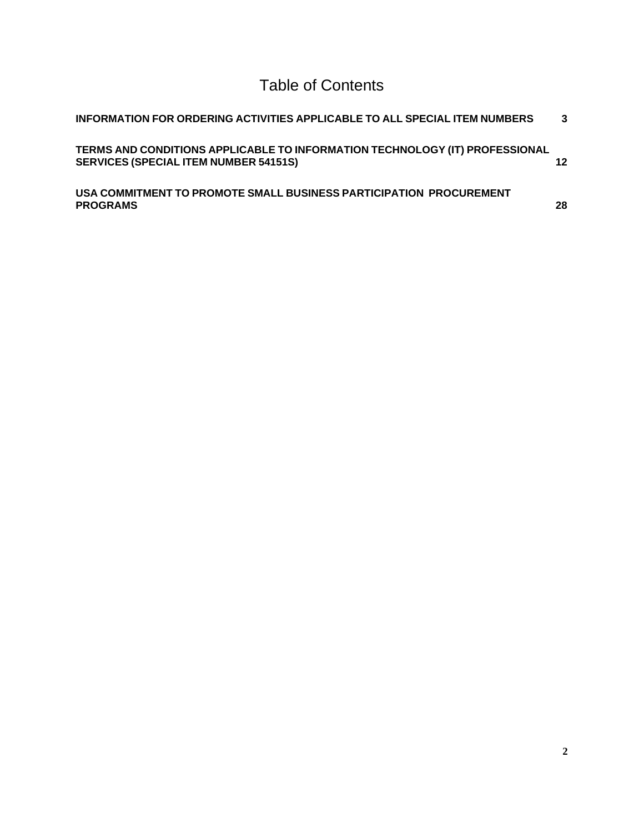Table of Contents

| INFORMATION FOR ORDERING ACTIVITIES APPLICABLE TO ALL SPECIAL ITEM NUMBERS                                                  | 3               |
|-----------------------------------------------------------------------------------------------------------------------------|-----------------|
| TERMS AND CONDITIONS APPLICABLE TO INFORMATION TECHNOLOGY (IT) PROFESSIONAL<br><b>SERVICES (SPECIAL ITEM NUMBER 54151S)</b> | 12 <sup>1</sup> |
| USA COMMITMENT TO PROMOTE SMALL BUSINESS PARTICIPATION PROCUREMENT<br><b>PROGRAMS</b>                                       | 28              |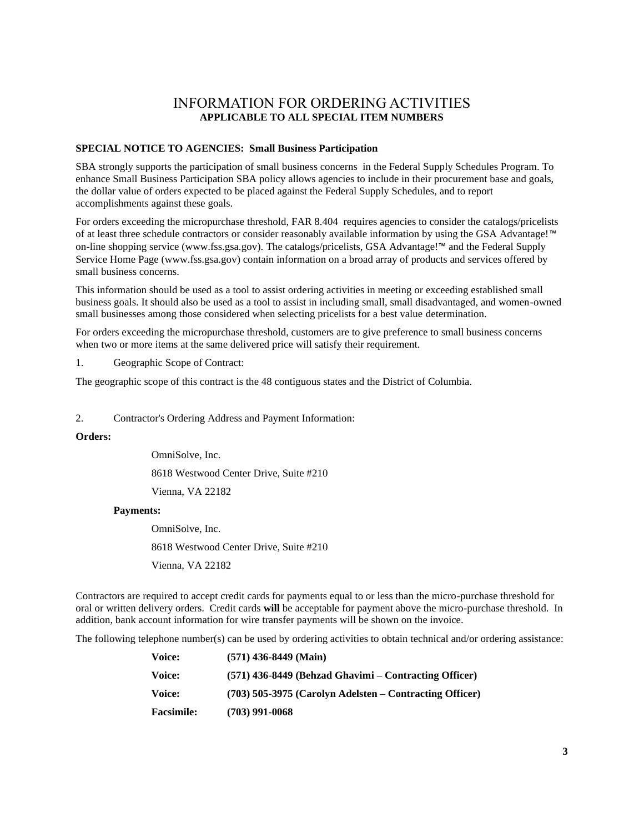# INFORMATION FOR ORDERING ACTIVITIES **APPLICABLE TO ALL SPECIAL ITEM NUMBERS**

### <span id="page-2-0"></span>**SPECIAL NOTICE TO AGENCIES: Small Business Participation**

SBA strongly supports the participation of small business concerns in the Federal Supply Schedules Program. To enhance Small Business Participation SBA policy allows agencies to include in their procurement base and goals, the dollar value of orders expected to be placed against the Federal Supply Schedules, and to report accomplishments against these goals.

For orders exceeding the micropurchase threshold, FAR 8.404 requires agencies to consider the catalogs/pricelists of at least three schedule contractors or consider reasonably available information by using the GSA Advantage!™ on-line shopping service (www.fss.gsa.gov). The catalogs/pricelists, GSA Advantage!™ and the Federal Supply Service Home Page (www.fss.gsa.gov) contain information on a broad array of products and services offered by small business concerns.

This information should be used as a tool to assist ordering activities in meeting or exceeding established small business goals. It should also be used as a tool to assist in including small, small disadvantaged, and women-owned small businesses among those considered when selecting pricelists for a best value determination.

For orders exceeding the micropurchase threshold, customers are to give preference to small business concerns when two or more items at the same delivered price will satisfy their requirement.

1. Geographic Scope of Contract:

The geographic scope of this contract is the 48 contiguous states and the District of Columbia.

2. Contractor's Ordering Address and Payment Information:

### **Orders:**

OmniSolve, Inc.

8618 Westwood Center Drive, Suite #210

Vienna, VA 22182

#### **Payments:**

OmniSolve, Inc.

8618 Westwood Center Drive, Suite #210

Vienna, VA 22182

Contractors are required to accept credit cards for payments equal to or less than the micro-purchase threshold for oral or written delivery orders. Credit cards **will** be acceptable for payment above the micro-purchase threshold. In addition, bank account information for wire transfer payments will be shown on the invoice.

The following telephone number(s) can be used by ordering activities to obtain technical and/or ordering assistance:

| Voice:            | $(571)$ 436-8449 (Main)                                   |
|-------------------|-----------------------------------------------------------|
| Voice:            | $(571)$ 436-8449 (Behzad Ghavimi – Contracting Officer)   |
| Voice:            | $(703)$ 505-3975 (Carolyn Adelsten – Contracting Officer) |
| <b>Facsimile:</b> | $(703)$ 991-0068                                          |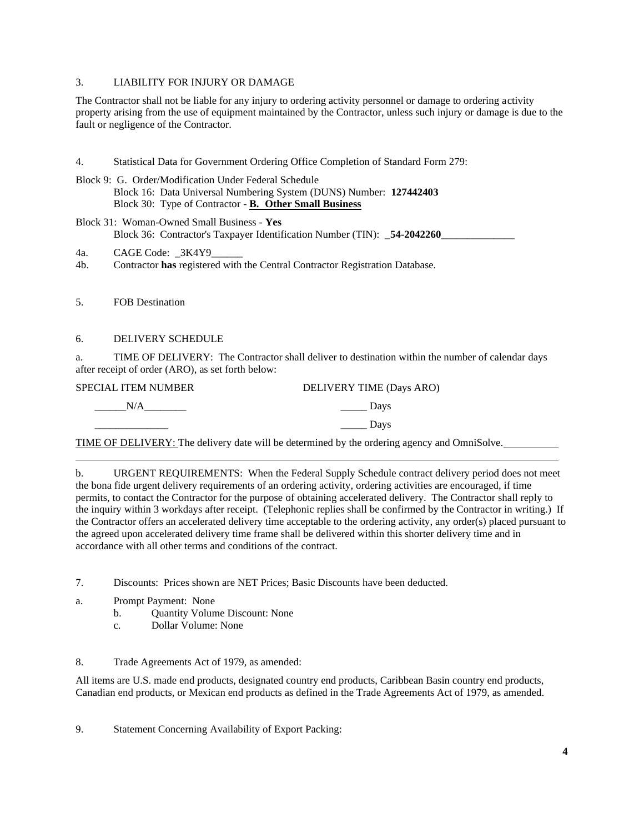## 3. LIABILITY FOR INJURY OR DAMAGE

The Contractor shall not be liable for any injury to ordering activity personnel or damage to ordering activity property arising from the use of equipment maintained by the Contractor, unless such injury or damage is due to the fault or negligence of the Contractor.

- 4. Statistical Data for Government Ordering Office Completion of Standard Form 279:
- Block 9: G. Order/Modification Under Federal Schedule Block 16: Data Universal Numbering System (DUNS) Number: **127442403** Block 30: Type of Contractor - **B. Other Small Business**
- Block 31: Woman-Owned Small Business **Yes** Block 36: Contractor's Taxpayer Identification Number (TIN): \_54-2042260\_
- 4a. CAGE Code: 3K4Y9
- 4b. Contractor **has** registered with the Central Contractor Registration Database.
- 5. FOB Destination

## 6. DELIVERY SCHEDULE

a. TIME OF DELIVERY: The Contractor shall deliver to destination within the number of calendar days after receipt of order (ARO), as set forth below:

| SPECIAL ITEM NUMBER | DELIVERY TIME (Days ARO) |
|---------------------|--------------------------|
| N/A                 | Davs                     |
|                     | Davs                     |

TIME OF DELIVERY: The delivery date will be determined by the ordering agency and OmniSolve.

b. URGENT REQUIREMENTS: When the Federal Supply Schedule contract delivery period does not meet the bona fide urgent delivery requirements of an ordering activity, ordering activities are encouraged, if time permits, to contact the Contractor for the purpose of obtaining accelerated delivery. The Contractor shall reply to the inquiry within 3 workdays after receipt. (Telephonic replies shall be confirmed by the Contractor in writing.) If the Contractor offers an accelerated delivery time acceptable to the ordering activity, any order(s) placed pursuant to the agreed upon accelerated delivery time frame shall be delivered within this shorter delivery time and in accordance with all other terms and conditions of the contract.

- 7. Discounts: Prices shown are NET Prices; Basic Discounts have been deducted.
- a. Prompt Payment: None
	- b. Quantity Volume Discount: None
	- c. Dollar Volume: None

8. Trade Agreements Act of 1979, as amended:

All items are U.S. made end products, designated country end products, Caribbean Basin country end products, Canadian end products, or Mexican end products as defined in the Trade Agreements Act of 1979, as amended.

9. Statement Concerning Availability of Export Packing: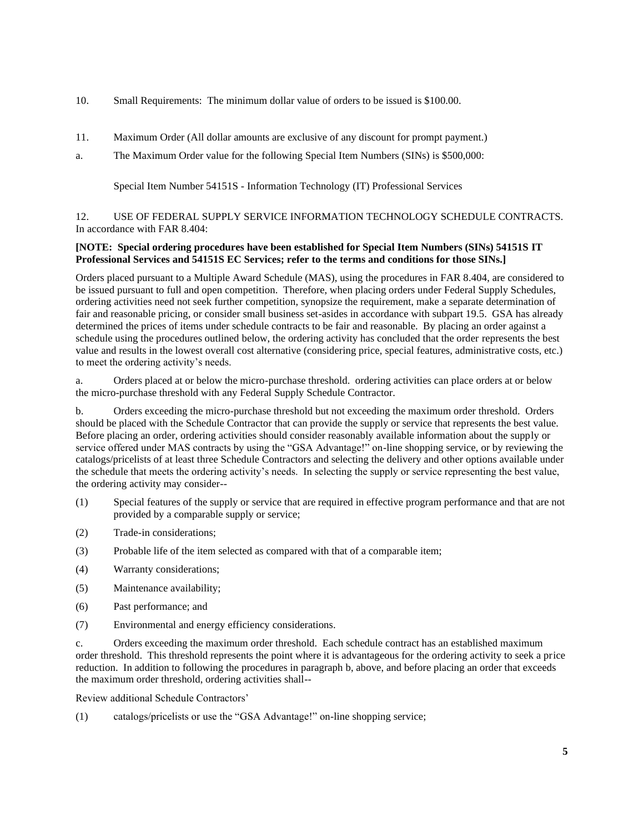- 10. Small Requirements: The minimum dollar value of orders to be issued is \$100.00.
- 11. Maximum Order (All dollar amounts are exclusive of any discount for prompt payment.)
- a. The Maximum Order value for the following Special Item Numbers (SINs) is \$500,000:

Special Item Number 54151S - Information Technology (IT) Professional Services

12. USE OF FEDERAL SUPPLY SERVICE INFORMATION TECHNOLOGY SCHEDULE CONTRACTS. In accordance with FAR 8.404:

## **[NOTE: Special ordering procedures have been established for Special Item Numbers (SINs) 54151S IT Professional Services and 54151S EC Services; refer to the terms and conditions for those SINs.]**

Orders placed pursuant to a Multiple Award Schedule (MAS), using the procedures in FAR 8.404, are considered to be issued pursuant to full and open competition. Therefore, when placing orders under Federal Supply Schedules, ordering activities need not seek further competition, synopsize the requirement, make a separate determination of fair and reasonable pricing, or consider small business set-asides in accordance with subpart 19.5. GSA has already determined the prices of items under schedule contracts to be fair and reasonable. By placing an order against a schedule using the procedures outlined below, the ordering activity has concluded that the order represents the best value and results in the lowest overall cost alternative (considering price, special features, administrative costs, etc.) to meet the ordering activity's needs.

a. Orders placed at or below the micro-purchase threshold. ordering activities can place orders at or below the micro-purchase threshold with any Federal Supply Schedule Contractor.

b. Orders exceeding the micro-purchase threshold but not exceeding the maximum order threshold. Orders should be placed with the Schedule Contractor that can provide the supply or service that represents the best value. Before placing an order, ordering activities should consider reasonably available information about the supply or service offered under MAS contracts by using the "GSA Advantage!" on-line shopping service, or by reviewing the catalogs/pricelists of at least three Schedule Contractors and selecting the delivery and other options available under the schedule that meets the ordering activity's needs. In selecting the supply or service representing the best value, the ordering activity may consider--

- (1) Special features of the supply or service that are required in effective program performance and that are not provided by a comparable supply or service;
- (2) Trade-in considerations;
- (3) Probable life of the item selected as compared with that of a comparable item;
- (4) Warranty considerations;
- (5) Maintenance availability;
- (6) Past performance; and
- (7) Environmental and energy efficiency considerations.

c. Orders exceeding the maximum order threshold. Each schedule contract has an established maximum order threshold. This threshold represents the point where it is advantageous for the ordering activity to seek a price reduction. In addition to following the procedures in paragraph b, above, and before placing an order that exceeds the maximum order threshold, ordering activities shall--

Review additional Schedule Contractors'

(1) catalogs/pricelists or use the "GSA Advantage!" on-line shopping service;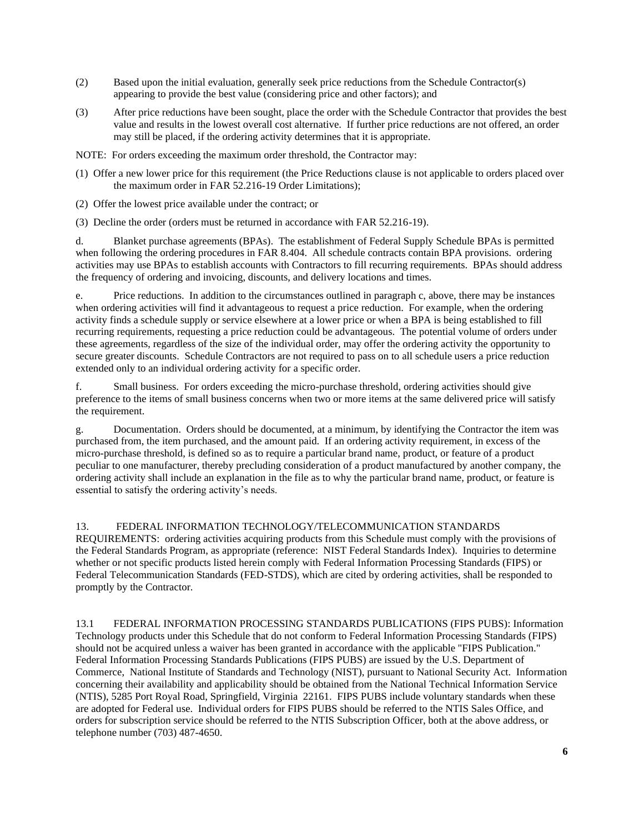- (2) Based upon the initial evaluation, generally seek price reductions from the Schedule Contractor(s) appearing to provide the best value (considering price and other factors); and
- (3) After price reductions have been sought, place the order with the Schedule Contractor that provides the best value and results in the lowest overall cost alternative. If further price reductions are not offered, an order may still be placed, if the ordering activity determines that it is appropriate.
- NOTE: For orders exceeding the maximum order threshold, the Contractor may:
- (1) Offer a new lower price for this requirement (the Price Reductions clause is not applicable to orders placed over the maximum order in FAR 52.216-19 Order Limitations);
- (2) Offer the lowest price available under the contract; or
- (3) Decline the order (orders must be returned in accordance with FAR 52.216-19).

d. Blanket purchase agreements (BPAs). The establishment of Federal Supply Schedule BPAs is permitted when following the ordering procedures in FAR 8.404. All schedule contracts contain BPA provisions. ordering activities may use BPAs to establish accounts with Contractors to fill recurring requirements. BPAs should address the frequency of ordering and invoicing, discounts, and delivery locations and times.

e. Price reductions. In addition to the circumstances outlined in paragraph c, above, there may be instances when ordering activities will find it advantageous to request a price reduction. For example, when the ordering activity finds a schedule supply or service elsewhere at a lower price or when a BPA is being established to fill recurring requirements, requesting a price reduction could be advantageous. The potential volume of orders under these agreements, regardless of the size of the individual order, may offer the ordering activity the opportunity to secure greater discounts. Schedule Contractors are not required to pass on to all schedule users a price reduction extended only to an individual ordering activity for a specific order.

f. Small business. For orders exceeding the micro-purchase threshold, ordering activities should give preference to the items of small business concerns when two or more items at the same delivered price will satisfy the requirement.

g. Documentation. Orders should be documented, at a minimum, by identifying the Contractor the item was purchased from, the item purchased, and the amount paid. If an ordering activity requirement, in excess of the micro-purchase threshold, is defined so as to require a particular brand name, product, or feature of a product peculiar to one manufacturer, thereby precluding consideration of a product manufactured by another company, the ordering activity shall include an explanation in the file as to why the particular brand name, product, or feature is essential to satisfy the ordering activity's needs.

13. FEDERAL INFORMATION TECHNOLOGY/TELECOMMUNICATION STANDARDS

REQUIREMENTS: ordering activities acquiring products from this Schedule must comply with the provisions of the Federal Standards Program, as appropriate (reference: NIST Federal Standards Index). Inquiries to determine whether or not specific products listed herein comply with Federal Information Processing Standards (FIPS) or Federal Telecommunication Standards (FED-STDS), which are cited by ordering activities, shall be responded to promptly by the Contractor.

13.1 FEDERAL INFORMATION PROCESSING STANDARDS PUBLICATIONS (FIPS PUBS): Information Technology products under this Schedule that do not conform to Federal Information Processing Standards (FIPS) should not be acquired unless a waiver has been granted in accordance with the applicable "FIPS Publication." Federal Information Processing Standards Publications (FIPS PUBS) are issued by the U.S. Department of Commerce, National Institute of Standards and Technology (NIST), pursuant to National Security Act. Information concerning their availability and applicability should be obtained from the National Technical Information Service (NTIS), 5285 Port Royal Road, Springfield, Virginia 22161. FIPS PUBS include voluntary standards when these are adopted for Federal use. Individual orders for FIPS PUBS should be referred to the NTIS Sales Office, and orders for subscription service should be referred to the NTIS Subscription Officer, both at the above address, or telephone number (703) 487-4650.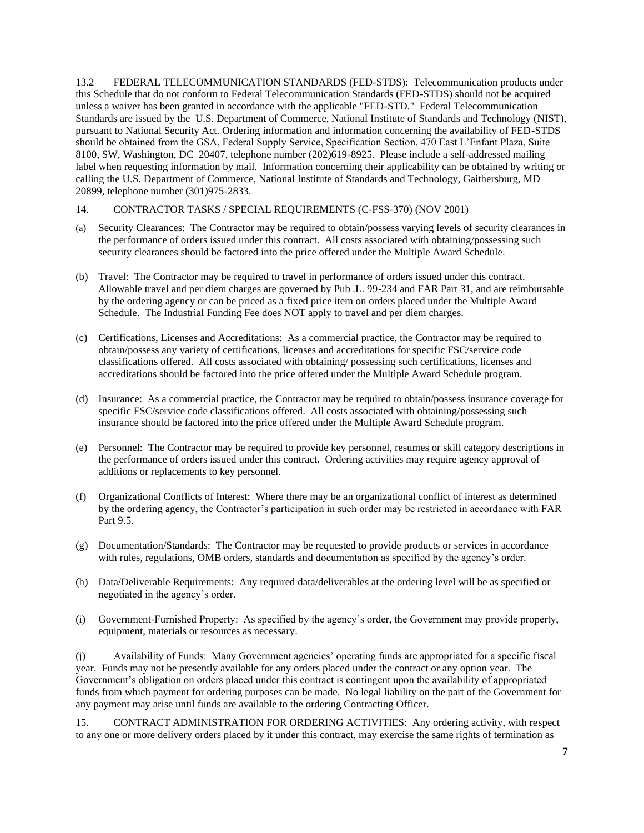13.2 FEDERAL TELECOMMUNICATION STANDARDS (FED-STDS): Telecommunication products under this Schedule that do not conform to Federal Telecommunication Standards (FED-STDS) should not be acquired unless a waiver has been granted in accordance with the applicable "FED-STD." Federal Telecommunication Standards are issued by the U.S. Department of Commerce, National Institute of Standards and Technology (NIST), pursuant to National Security Act. Ordering information and information concerning the availability of FED-STDS should be obtained from the GSA, Federal Supply Service, Specification Section, 470 East L'Enfant Plaza, Suite 8100, SW, Washington, DC 20407, telephone number (202)619-8925. Please include a self-addressed mailing label when requesting information by mail. Information concerning their applicability can be obtained by writing or calling the U.S. Department of Commerce, National Institute of Standards and Technology, Gaithersburg, MD 20899, telephone number (301)975-2833.

## 14. CONTRACTOR TASKS / SPECIAL REQUIREMENTS (C-FSS-370) (NOV 2001)

- (a) Security Clearances: The Contractor may be required to obtain/possess varying levels of security clearances in the performance of orders issued under this contract. All costs associated with obtaining/possessing such security clearances should be factored into the price offered under the Multiple Award Schedule.
- (b) Travel: The Contractor may be required to travel in performance of orders issued under this contract. Allowable travel and per diem charges are governed by Pub .L. 99-234 and FAR Part 31, and are reimbursable by the ordering agency or can be priced as a fixed price item on orders placed under the Multiple Award Schedule. The Industrial Funding Fee does NOT apply to travel and per diem charges.
- (c) Certifications, Licenses and Accreditations: As a commercial practice, the Contractor may be required to obtain/possess any variety of certifications, licenses and accreditations for specific FSC/service code classifications offered. All costs associated with obtaining/ possessing such certifications, licenses and accreditations should be factored into the price offered under the Multiple Award Schedule program.
- (d) Insurance: As a commercial practice, the Contractor may be required to obtain/possess insurance coverage for specific FSC/service code classifications offered. All costs associated with obtaining/possessing such insurance should be factored into the price offered under the Multiple Award Schedule program.
- (e) Personnel: The Contractor may be required to provide key personnel, resumes or skill category descriptions in the performance of orders issued under this contract. Ordering activities may require agency approval of additions or replacements to key personnel.
- (f) Organizational Conflicts of Interest: Where there may be an organizational conflict of interest as determined by the ordering agency, the Contractor's participation in such order may be restricted in accordance with FAR Part 9.5.
- (g) Documentation/Standards: The Contractor may be requested to provide products or services in accordance with rules, regulations, OMB orders, standards and documentation as specified by the agency's order.
- (h) Data/Deliverable Requirements: Any required data/deliverables at the ordering level will be as specified or negotiated in the agency's order.
- (i) Government-Furnished Property: As specified by the agency's order, the Government may provide property, equipment, materials or resources as necessary.

(j) Availability of Funds: Many Government agencies' operating funds are appropriated for a specific fiscal year. Funds may not be presently available for any orders placed under the contract or any option year. The Government's obligation on orders placed under this contract is contingent upon the availability of appropriated funds from which payment for ordering purposes can be made. No legal liability on the part of the Government for any payment may arise until funds are available to the ordering Contracting Officer.

15. CONTRACT ADMINISTRATION FOR ORDERING ACTIVITIES: Any ordering activity, with respect to any one or more delivery orders placed by it under this contract, may exercise the same rights of termination as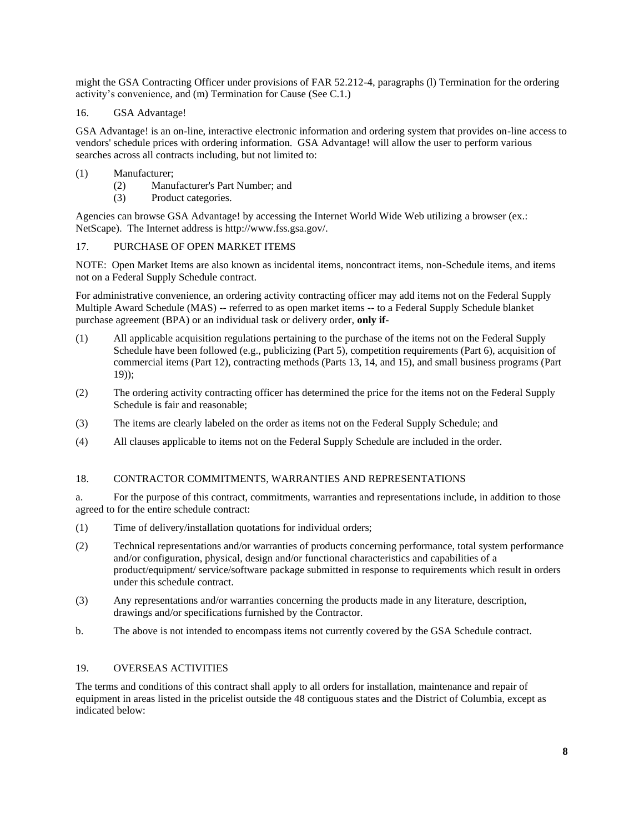might the GSA Contracting Officer under provisions of FAR 52.212-4, paragraphs (l) Termination for the ordering activity's convenience, and (m) Termination for Cause (See C.1.)

## 16. GSA Advantage!

GSA Advantage! is an on-line, interactive electronic information and ordering system that provides on-line access to vendors' schedule prices with ordering information. GSA Advantage! will allow the user to perform various searches across all contracts including, but not limited to:

## (1) Manufacturer;

- (2) Manufacturer's Part Number; and
- (3) Product categories.

Agencies can browse GSA Advantage! by accessing the Internet World Wide Web utilizing a browser (ex.: NetScape). The Internet address is http://www.fss.gsa.gov/.

## 17. PURCHASE OF OPEN MARKET ITEMS

NOTE: Open Market Items are also known as incidental items, noncontract items, non-Schedule items, and items not on a Federal Supply Schedule contract.

For administrative convenience, an ordering activity contracting officer may add items not on the Federal Supply Multiple Award Schedule (MAS) -- referred to as open market items -- to a Federal Supply Schedule blanket purchase agreement (BPA) or an individual task or delivery order, **only if**-

- (1) All applicable acquisition regulations pertaining to the purchase of the items not on the Federal Supply Schedule have been followed (e.g., publicizing (Part 5), competition requirements (Part 6), acquisition of commercial items (Part 12), contracting methods (Parts 13, 14, and 15), and small business programs (Part 19));
- (2) The ordering activity contracting officer has determined the price for the items not on the Federal Supply Schedule is fair and reasonable;
- (3) The items are clearly labeled on the order as items not on the Federal Supply Schedule; and
- (4) All clauses applicable to items not on the Federal Supply Schedule are included in the order.

### 18. CONTRACTOR COMMITMENTS, WARRANTIES AND REPRESENTATIONS

a. For the purpose of this contract, commitments, warranties and representations include, in addition to those agreed to for the entire schedule contract:

- (1) Time of delivery/installation quotations for individual orders;
- (2) Technical representations and/or warranties of products concerning performance, total system performance and/or configuration, physical, design and/or functional characteristics and capabilities of a product/equipment/ service/software package submitted in response to requirements which result in orders under this schedule contract.
- (3) Any representations and/or warranties concerning the products made in any literature, description, drawings and/or specifications furnished by the Contractor.
- b. The above is not intended to encompass items not currently covered by the GSA Schedule contract.

## 19. OVERSEAS ACTIVITIES

The terms and conditions of this contract shall apply to all orders for installation, maintenance and repair of equipment in areas listed in the pricelist outside the 48 contiguous states and the District of Columbia, except as indicated below: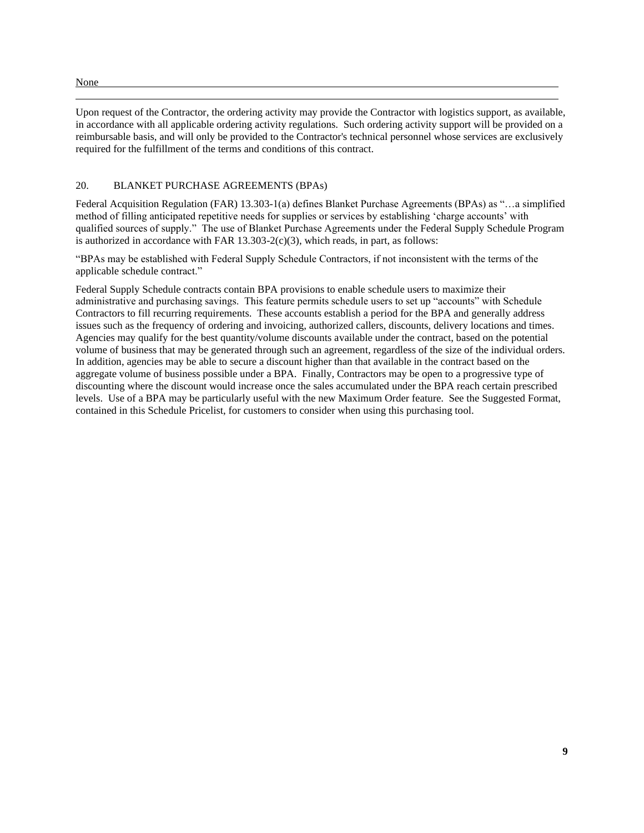#### None

Upon request of the Contractor, the ordering activity may provide the Contractor with logistics support, as available, in accordance with all applicable ordering activity regulations. Such ordering activity support will be provided on a reimbursable basis, and will only be provided to the Contractor's technical personnel whose services are exclusively required for the fulfillment of the terms and conditions of this contract.

## 20. BLANKET PURCHASE AGREEMENTS (BPAs)

Federal Acquisition Regulation (FAR) 13.303-1(a) defines Blanket Purchase Agreements (BPAs) as "…a simplified method of filling anticipated repetitive needs for supplies or services by establishing 'charge accounts' with qualified sources of supply." The use of Blanket Purchase Agreements under the Federal Supply Schedule Program is authorized in accordance with FAR  $13.303-2(c)(3)$ , which reads, in part, as follows:

"BPAs may be established with Federal Supply Schedule Contractors, if not inconsistent with the terms of the applicable schedule contract."

Federal Supply Schedule contracts contain BPA provisions to enable schedule users to maximize their administrative and purchasing savings. This feature permits schedule users to set up "accounts" with Schedule Contractors to fill recurring requirements. These accounts establish a period for the BPA and generally address issues such as the frequency of ordering and invoicing, authorized callers, discounts, delivery locations and times. Agencies may qualify for the best quantity/volume discounts available under the contract, based on the potential volume of business that may be generated through such an agreement, regardless of the size of the individual orders. In addition, agencies may be able to secure a discount higher than that available in the contract based on the aggregate volume of business possible under a BPA. Finally, Contractors may be open to a progressive type of discounting where the discount would increase once the sales accumulated under the BPA reach certain prescribed levels. Use of a BPA may be particularly useful with the new Maximum Order feature. See the Suggested Format, contained in this Schedule Pricelist, for customers to consider when using this purchasing tool.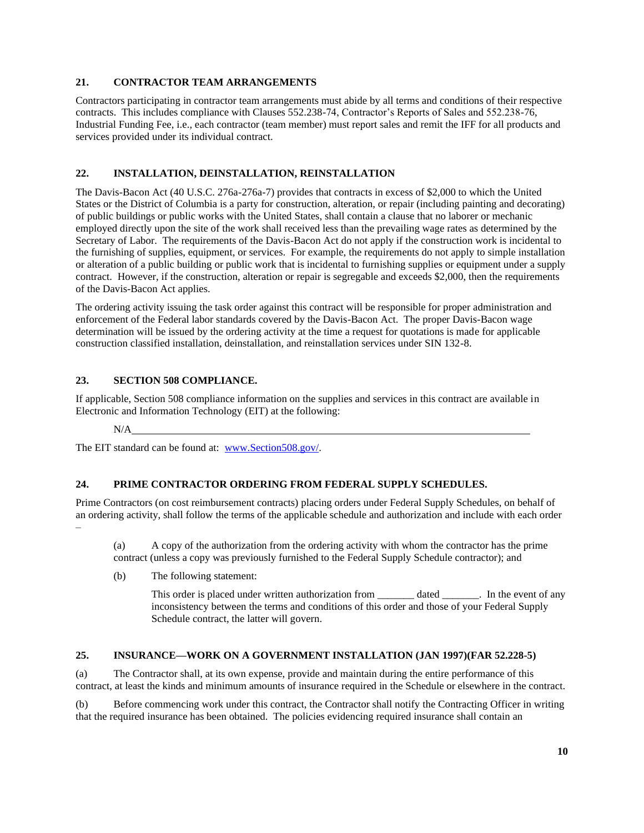## **21. CONTRACTOR TEAM ARRANGEMENTS**

Contractors participating in contractor team arrangements must abide by all terms and conditions of their respective contracts. This includes compliance with Clauses 552.238-74, Contractor's Reports of Sales and 552.238-76, Industrial Funding Fee, i.e., each contractor (team member) must report sales and remit the IFF for all products and services provided under its individual contract.

## **22. INSTALLATION, DEINSTALLATION, REINSTALLATION**

The Davis-Bacon Act (40 U.S.C. 276a-276a-7) provides that contracts in excess of \$2,000 to which the United States or the District of Columbia is a party for construction, alteration, or repair (including painting and decorating) of public buildings or public works with the United States, shall contain a clause that no laborer or mechanic employed directly upon the site of the work shall received less than the prevailing wage rates as determined by the Secretary of Labor. The requirements of the Davis-Bacon Act do not apply if the construction work is incidental to the furnishing of supplies, equipment, or services. For example, the requirements do not apply to simple installation or alteration of a public building or public work that is incidental to furnishing supplies or equipment under a supply contract. However, if the construction, alteration or repair is segregable and exceeds \$2,000, then the requirements of the Davis-Bacon Act applies.

The ordering activity issuing the task order against this contract will be responsible for proper administration and enforcement of the Federal labor standards covered by the Davis-Bacon Act. The proper Davis-Bacon wage determination will be issued by the ordering activity at the time a request for quotations is made for applicable construction classified installation, deinstallation, and reinstallation services under SIN 132-8.

## **23. SECTION 508 COMPLIANCE.**

If applicable, Section 508 compliance information on the supplies and services in this contract are available in Electronic and Information Technology (EIT) at the following:

### N/A

The EIT standard can be found at: [www.Section508.gov/.](http://www.section508.gov/)

## **24. PRIME CONTRACTOR ORDERING FROM FEDERAL SUPPLY SCHEDULES.**

Prime Contractors (on cost reimbursement contracts) placing orders under Federal Supply Schedules, on behalf of an ordering activity, shall follow the terms of the applicable schedule and authorization and include with each order –

(a) A copy of the authorization from the ordering activity with whom the contractor has the prime contract (unless a copy was previously furnished to the Federal Supply Schedule contractor); and

(b) The following statement:

This order is placed under written authorization from \_\_\_\_\_\_\_\_ dated \_\_\_\_\_\_\_. In the event of any inconsistency between the terms and conditions of this order and those of your Federal Supply Schedule contract, the latter will govern.

## **25. INSURANCE—WORK ON A GOVERNMENT INSTALLATION (JAN 1997)(FAR 52.228-5)**

(a) The Contractor shall, at its own expense, provide and maintain during the entire performance of this contract, at least the kinds and minimum amounts of insurance required in the Schedule or elsewhere in the contract.

(b) Before commencing work under this contract, the Contractor shall notify the Contracting Officer in writing that the required insurance has been obtained. The policies evidencing required insurance shall contain an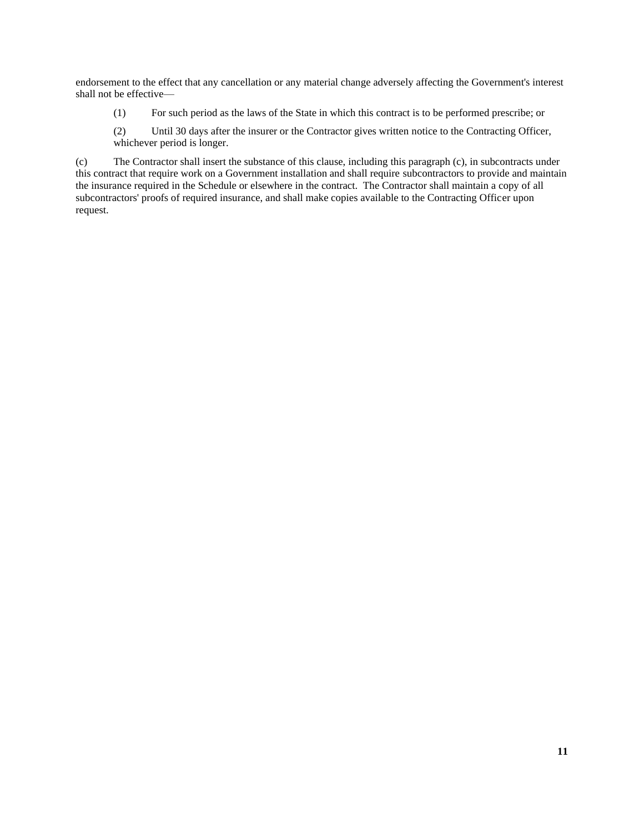endorsement to the effect that any cancellation or any material change adversely affecting the Government's interest shall not be effective—

- (1) For such period as the laws of the State in which this contract is to be performed prescribe; or
- (2) Until 30 days after the insurer or the Contractor gives written notice to the Contracting Officer, whichever period is longer.

(c) The Contractor shall insert the substance of this clause, including this paragraph (c), in subcontracts under this contract that require work on a Government installation and shall require subcontractors to provide and maintain the insurance required in the Schedule or elsewhere in the contract. The Contractor shall maintain a copy of all subcontractors' proofs of required insurance, and shall make copies available to the Contracting Officer upon request.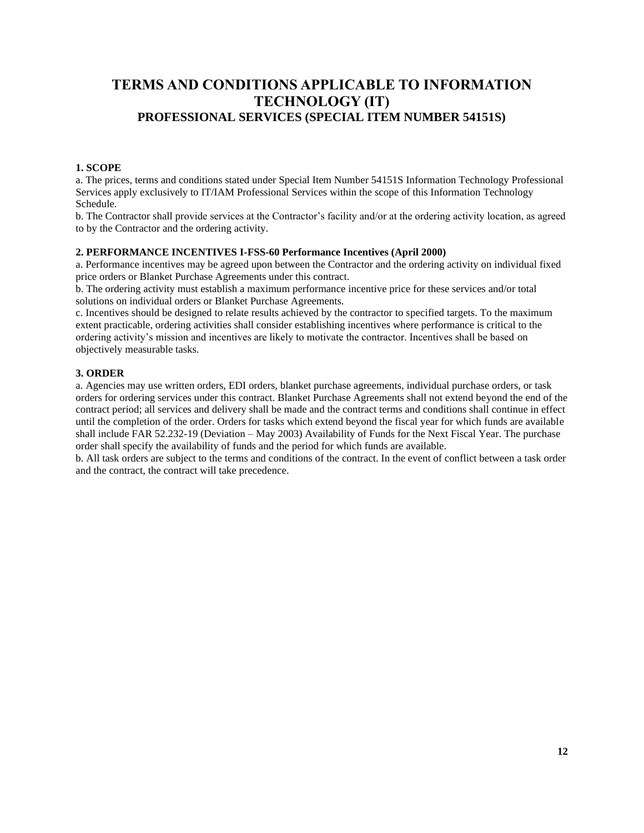# <span id="page-11-0"></span>**TERMS AND CONDITIONS APPLICABLE TO INFORMATION TECHNOLOGY (IT) PROFESSIONAL SERVICES (SPECIAL ITEM NUMBER 54151S)**

## **1. SCOPE**

a. The prices, terms and conditions stated under Special Item Number 54151S Information Technology Professional Services apply exclusively to IT/IAM Professional Services within the scope of this Information Technology Schedule.

b. The Contractor shall provide services at the Contractor's facility and/or at the ordering activity location, as agreed to by the Contractor and the ordering activity.

## **2. PERFORMANCE INCENTIVES I-FSS-60 Performance Incentives (April 2000)**

a. Performance incentives may be agreed upon between the Contractor and the ordering activity on individual fixed price orders or Blanket Purchase Agreements under this contract.

b. The ordering activity must establish a maximum performance incentive price for these services and/or total solutions on individual orders or Blanket Purchase Agreements.

c. Incentives should be designed to relate results achieved by the contractor to specified targets. To the maximum extent practicable, ordering activities shall consider establishing incentives where performance is critical to the ordering activity's mission and incentives are likely to motivate the contractor. Incentives shall be based on objectively measurable tasks.

## **3. ORDER**

a. Agencies may use written orders, EDI orders, blanket purchase agreements, individual purchase orders, or task orders for ordering services under this contract. Blanket Purchase Agreements shall not extend beyond the end of the contract period; all services and delivery shall be made and the contract terms and conditions shall continue in effect until the completion of the order. Orders for tasks which extend beyond the fiscal year for which funds are available shall include FAR 52.232-19 (Deviation – May 2003) Availability of Funds for the Next Fiscal Year. The purchase order shall specify the availability of funds and the period for which funds are available.

b. All task orders are subject to the terms and conditions of the contract. In the event of conflict between a task order and the contract, the contract will take precedence.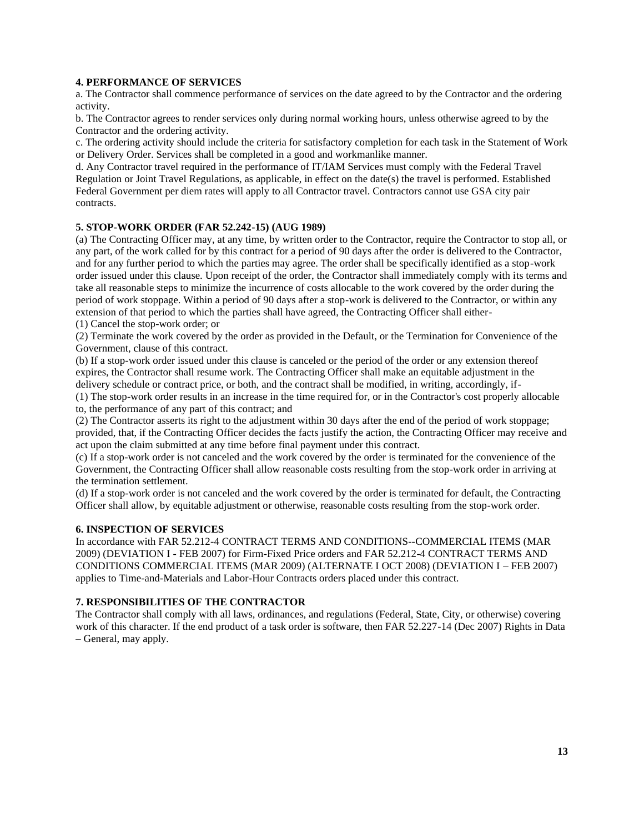## **4. PERFORMANCE OF SERVICES**

a. The Contractor shall commence performance of services on the date agreed to by the Contractor and the ordering activity.

b. The Contractor agrees to render services only during normal working hours, unless otherwise agreed to by the Contractor and the ordering activity.

c. The ordering activity should include the criteria for satisfactory completion for each task in the Statement of Work or Delivery Order. Services shall be completed in a good and workmanlike manner.

d. Any Contractor travel required in the performance of IT/IAM Services must comply with the Federal Travel Regulation or Joint Travel Regulations, as applicable, in effect on the date(s) the travel is performed. Established Federal Government per diem rates will apply to all Contractor travel. Contractors cannot use GSA city pair contracts.

## **5. STOP-WORK ORDER (FAR 52.242-15) (AUG 1989)**

(a) The Contracting Officer may, at any time, by written order to the Contractor, require the Contractor to stop all, or any part, of the work called for by this contract for a period of 90 days after the order is delivered to the Contractor, and for any further period to which the parties may agree. The order shall be specifically identified as a stop-work order issued under this clause. Upon receipt of the order, the Contractor shall immediately comply with its terms and take all reasonable steps to minimize the incurrence of costs allocable to the work covered by the order during the period of work stoppage. Within a period of 90 days after a stop-work is delivered to the Contractor, or within any extension of that period to which the parties shall have agreed, the Contracting Officer shall either- (1) Cancel the stop-work order; or

(2) Terminate the work covered by the order as provided in the Default, or the Termination for Convenience of the Government, clause of this contract.

(b) If a stop-work order issued under this clause is canceled or the period of the order or any extension thereof expires, the Contractor shall resume work. The Contracting Officer shall make an equitable adjustment in the delivery schedule or contract price, or both, and the contract shall be modified, in writing, accordingly, if-

(1) The stop-work order results in an increase in the time required for, or in the Contractor's cost properly allocable to, the performance of any part of this contract; and

(2) The Contractor asserts its right to the adjustment within 30 days after the end of the period of work stoppage; provided, that, if the Contracting Officer decides the facts justify the action, the Contracting Officer may receive and act upon the claim submitted at any time before final payment under this contract.

(c) If a stop-work order is not canceled and the work covered by the order is terminated for the convenience of the Government, the Contracting Officer shall allow reasonable costs resulting from the stop-work order in arriving at the termination settlement.

(d) If a stop-work order is not canceled and the work covered by the order is terminated for default, the Contracting Officer shall allow, by equitable adjustment or otherwise, reasonable costs resulting from the stop-work order.

### **6. INSPECTION OF SERVICES**

In accordance with FAR 52.212-4 CONTRACT TERMS AND CONDITIONS--COMMERCIAL ITEMS (MAR 2009) (DEVIATION I - FEB 2007) for Firm-Fixed Price orders and FAR 52.212-4 CONTRACT TERMS AND CONDITIONS COMMERCIAL ITEMS (MAR 2009) (ALTERNATE I OCT 2008) (DEVIATION I – FEB 2007) applies to Time-and-Materials and Labor-Hour Contracts orders placed under this contract.

## **7. RESPONSIBILITIES OF THE CONTRACTOR**

The Contractor shall comply with all laws, ordinances, and regulations (Federal, State, City, or otherwise) covering work of this character. If the end product of a task order is software, then FAR 52.227-14 (Dec 2007) Rights in Data – General, may apply.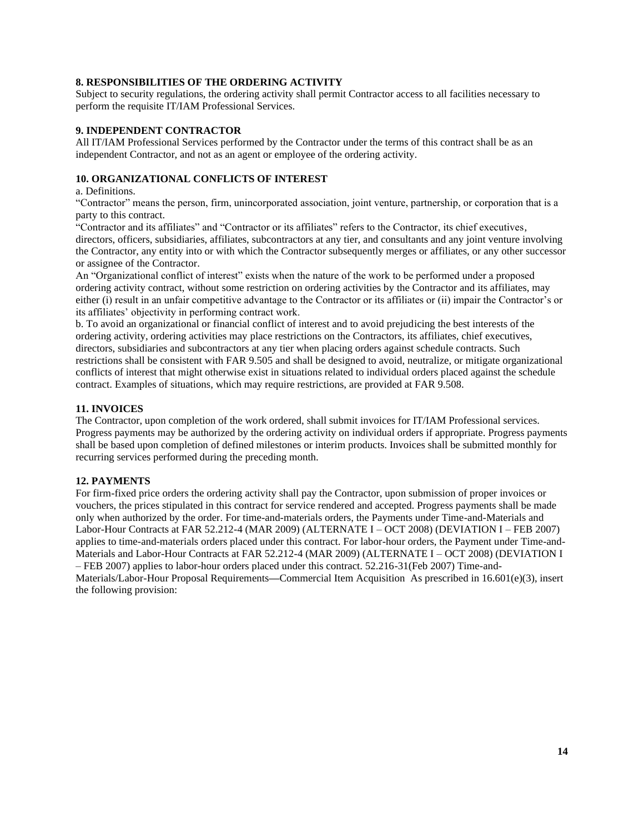## **8. RESPONSIBILITIES OF THE ORDERING ACTIVITY**

Subject to security regulations, the ordering activity shall permit Contractor access to all facilities necessary to perform the requisite IT/IAM Professional Services.

## **9. INDEPENDENT CONTRACTOR**

All IT/IAM Professional Services performed by the Contractor under the terms of this contract shall be as an independent Contractor, and not as an agent or employee of the ordering activity.

## **10. ORGANIZATIONAL CONFLICTS OF INTEREST**

## a. Definitions.

"Contractor" means the person, firm, unincorporated association, joint venture, partnership, or corporation that is a party to this contract.

"Contractor and its affiliates" and "Contractor or its affiliates" refers to the Contractor, its chief executives, directors, officers, subsidiaries, affiliates, subcontractors at any tier, and consultants and any joint venture involving the Contractor, any entity into or with which the Contractor subsequently merges or affiliates, or any other successor or assignee of the Contractor.

An "Organizational conflict of interest" exists when the nature of the work to be performed under a proposed ordering activity contract, without some restriction on ordering activities by the Contractor and its affiliates, may either (i) result in an unfair competitive advantage to the Contractor or its affiliates or (ii) impair the Contractor's or its affiliates' objectivity in performing contract work.

b. To avoid an organizational or financial conflict of interest and to avoid prejudicing the best interests of the ordering activity, ordering activities may place restrictions on the Contractors, its affiliates, chief executives, directors, subsidiaries and subcontractors at any tier when placing orders against schedule contracts. Such restrictions shall be consistent with FAR 9.505 and shall be designed to avoid, neutralize, or mitigate organizational conflicts of interest that might otherwise exist in situations related to individual orders placed against the schedule contract. Examples of situations, which may require restrictions, are provided at FAR 9.508.

## **11. INVOICES**

The Contractor, upon completion of the work ordered, shall submit invoices for IT/IAM Professional services. Progress payments may be authorized by the ordering activity on individual orders if appropriate. Progress payments shall be based upon completion of defined milestones or interim products. Invoices shall be submitted monthly for recurring services performed during the preceding month.

## **12. PAYMENTS**

For firm-fixed price orders the ordering activity shall pay the Contractor, upon submission of proper invoices or vouchers, the prices stipulated in this contract for service rendered and accepted. Progress payments shall be made only when authorized by the order. For time-and-materials orders, the Payments under Time-and-Materials and Labor-Hour Contracts at FAR 52.212-4 (MAR 2009) (ALTERNATE I – OCT 2008) (DEVIATION I – FEB 2007) applies to time-and-materials orders placed under this contract. For labor-hour orders, the Payment under Time-and-Materials and Labor-Hour Contracts at FAR 52.212-4 (MAR 2009) (ALTERNATE I – OCT 2008) (DEVIATION I – FEB 2007) applies to labor-hour orders placed under this contract. 52.216-31(Feb 2007) Time-and-Materials/Labor-Hour Proposal Requirements**—**Commercial Item Acquisition. As prescribed in 16.601(e)(3), insert the following provision: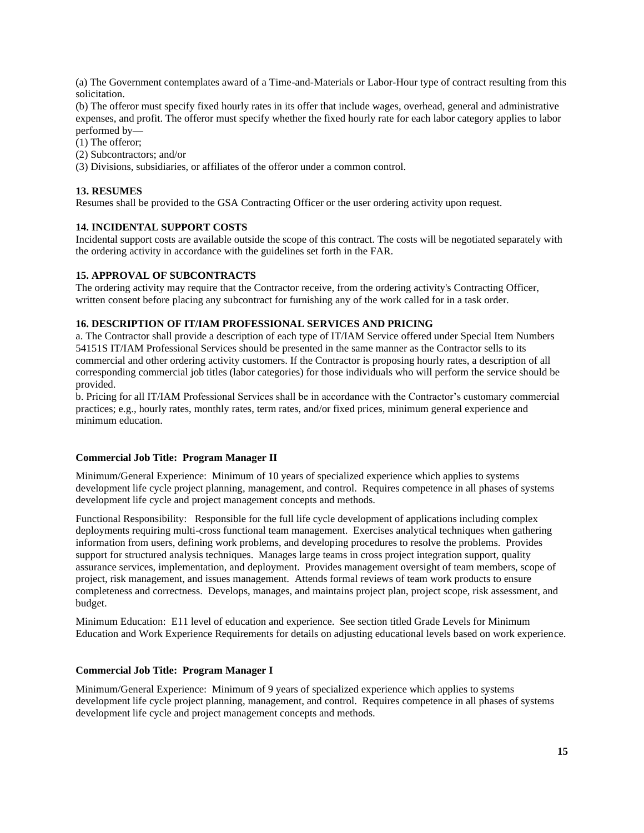(a) The Government contemplates award of a Time-and-Materials or Labor-Hour type of contract resulting from this solicitation.

(b) The offeror must specify fixed hourly rates in its offer that include wages, overhead, general and administrative expenses, and profit. The offeror must specify whether the fixed hourly rate for each labor category applies to labor performed by—

(1) The offeror;

(2) Subcontractors; and/or

(3) Divisions, subsidiaries, or affiliates of the offeror under a common control.

## **13. RESUMES**

Resumes shall be provided to the GSA Contracting Officer or the user ordering activity upon request.

## **14. INCIDENTAL SUPPORT COSTS**

Incidental support costs are available outside the scope of this contract. The costs will be negotiated separately with the ordering activity in accordance with the guidelines set forth in the FAR.

## **15. APPROVAL OF SUBCONTRACTS**

The ordering activity may require that the Contractor receive, from the ordering activity's Contracting Officer, written consent before placing any subcontract for furnishing any of the work called for in a task order.

## **16. DESCRIPTION OF IT/IAM PROFESSIONAL SERVICES AND PRICING**

a. The Contractor shall provide a description of each type of IT/IAM Service offered under Special Item Numbers 54151S IT/IAM Professional Services should be presented in the same manner as the Contractor sells to its commercial and other ordering activity customers. If the Contractor is proposing hourly rates, a description of all corresponding commercial job titles (labor categories) for those individuals who will perform the service should be provided.

b. Pricing for all IT/IAM Professional Services shall be in accordance with the Contractor's customary commercial practices; e.g., hourly rates, monthly rates, term rates, and/or fixed prices, minimum general experience and minimum education.

## **Commercial Job Title: Program Manager II**

Minimum/General Experience: Minimum of 10 years of specialized experience which applies to systems development life cycle project planning, management, and control. Requires competence in all phases of systems development life cycle and project management concepts and methods.

Functional Responsibility: Responsible for the full life cycle development of applications including complex deployments requiring multi-cross functional team management. Exercises analytical techniques when gathering information from users, defining work problems, and developing procedures to resolve the problems. Provides support for structured analysis techniques. Manages large teams in cross project integration support, quality assurance services, implementation, and deployment. Provides management oversight of team members, scope of project, risk management, and issues management. Attends formal reviews of team work products to ensure completeness and correctness. Develops, manages, and maintains project plan, project scope, risk assessment, and budget.

Minimum Education: E11 level of education and experience. See section titled Grade Levels for Minimum Education and Work Experience Requirements for details on adjusting educational levels based on work experience.

## **Commercial Job Title: Program Manager I**

Minimum/General Experience: Minimum of 9 years of specialized experience which applies to systems development life cycle project planning, management, and control. Requires competence in all phases of systems development life cycle and project management concepts and methods.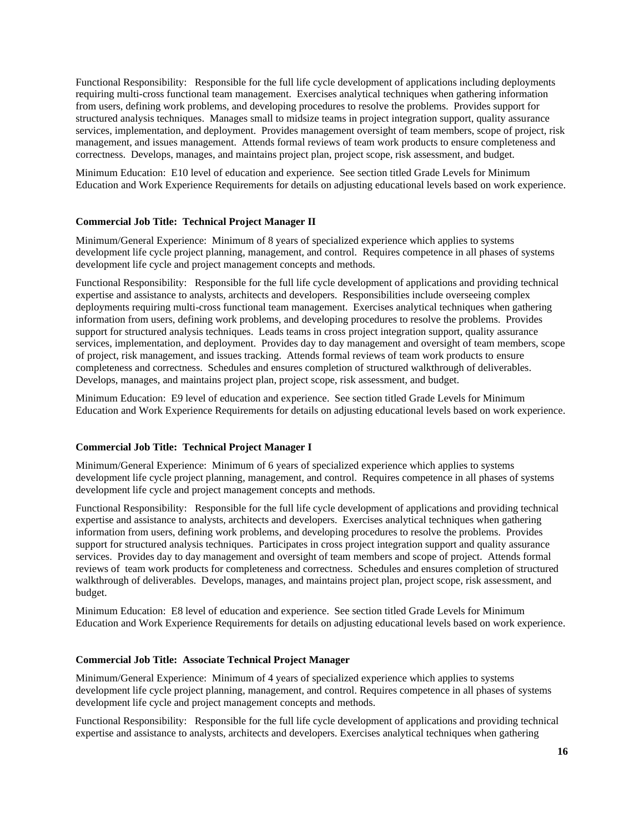Functional Responsibility: Responsible for the full life cycle development of applications including deployments requiring multi-cross functional team management. Exercises analytical techniques when gathering information from users, defining work problems, and developing procedures to resolve the problems. Provides support for structured analysis techniques. Manages small to midsize teams in project integration support, quality assurance services, implementation, and deployment. Provides management oversight of team members, scope of project, risk management, and issues management. Attends formal reviews of team work products to ensure completeness and correctness. Develops, manages, and maintains project plan, project scope, risk assessment, and budget.

Minimum Education: E10 level of education and experience. See section titled Grade Levels for Minimum Education and Work Experience Requirements for details on adjusting educational levels based on work experience.

#### **Commercial Job Title: Technical Project Manager II**

Minimum/General Experience: Minimum of 8 years of specialized experience which applies to systems development life cycle project planning, management, and control. Requires competence in all phases of systems development life cycle and project management concepts and methods.

Functional Responsibility: Responsible for the full life cycle development of applications and providing technical expertise and assistance to analysts, architects and developers. Responsibilities include overseeing complex deployments requiring multi-cross functional team management. Exercises analytical techniques when gathering information from users, defining work problems, and developing procedures to resolve the problems. Provides support for structured analysis techniques. Leads teams in cross project integration support, quality assurance services, implementation, and deployment. Provides day to day management and oversight of team members, scope of project, risk management, and issues tracking. Attends formal reviews of team work products to ensure completeness and correctness. Schedules and ensures completion of structured walkthrough of deliverables. Develops, manages, and maintains project plan, project scope, risk assessment, and budget.

Minimum Education: E9 level of education and experience. See section titled Grade Levels for Minimum Education and Work Experience Requirements for details on adjusting educational levels based on work experience.

#### **Commercial Job Title: Technical Project Manager I**

Minimum/General Experience: Minimum of 6 years of specialized experience which applies to systems development life cycle project planning, management, and control. Requires competence in all phases of systems development life cycle and project management concepts and methods.

Functional Responsibility: Responsible for the full life cycle development of applications and providing technical expertise and assistance to analysts, architects and developers. Exercises analytical techniques when gathering information from users, defining work problems, and developing procedures to resolve the problems. Provides support for structured analysis techniques. Participates in cross project integration support and quality assurance services. Provides day to day management and oversight of team members and scope of project. Attends formal reviews of team work products for completeness and correctness. Schedules and ensures completion of structured walkthrough of deliverables. Develops, manages, and maintains project plan, project scope, risk assessment, and budget.

Minimum Education: E8 level of education and experience. See section titled Grade Levels for Minimum Education and Work Experience Requirements for details on adjusting educational levels based on work experience.

#### **Commercial Job Title: Associate Technical Project Manager**

Minimum/General Experience: Minimum of 4 years of specialized experience which applies to systems development life cycle project planning, management, and control. Requires competence in all phases of systems development life cycle and project management concepts and methods.

Functional Responsibility: Responsible for the full life cycle development of applications and providing technical expertise and assistance to analysts, architects and developers. Exercises analytical techniques when gathering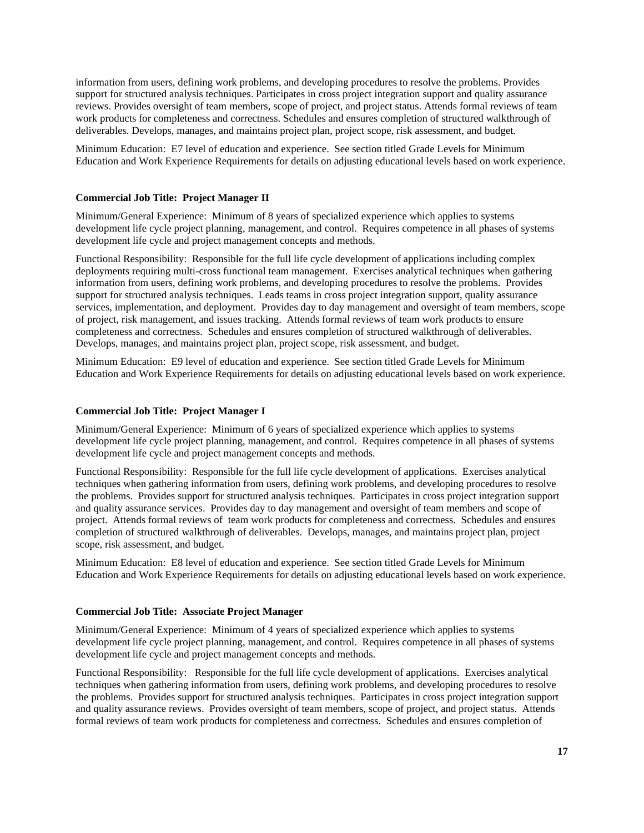information from users, defining work problems, and developing procedures to resolve the problems. Provides support for structured analysis techniques. Participates in cross project integration support and quality assurance reviews. Provides oversight of team members, scope of project, and project status. Attends formal reviews of team work products for completeness and correctness. Schedules and ensures completion of structured walkthrough of deliverables. Develops, manages, and maintains project plan, project scope, risk assessment, and budget.

Minimum Education: E7 level of education and experience. See section titled Grade Levels for Minimum Education and Work Experience Requirements for details on adjusting educational levels based on work experience.

### **Commercial Job Title: Project Manager II**

Minimum/General Experience: Minimum of 8 years of specialized experience which applies to systems development life cycle project planning, management, and control. Requires competence in all phases of systems development life cycle and project management concepts and methods.

Functional Responsibility: Responsible for the full life cycle development of applications including complex deployments requiring multi-cross functional team management. Exercises analytical techniques when gathering information from users, defining work problems, and developing procedures to resolve the problems. Provides support for structured analysis techniques. Leads teams in cross project integration support, quality assurance services, implementation, and deployment. Provides day to day management and oversight of team members, scope of project, risk management, and issues tracking. Attends formal reviews of team work products to ensure completeness and correctness. Schedules and ensures completion of structured walkthrough of deliverables. Develops, manages, and maintains project plan, project scope, risk assessment, and budget.

Minimum Education: E9 level of education and experience. See section titled Grade Levels for Minimum Education and Work Experience Requirements for details on adjusting educational levels based on work experience.

#### **Commercial Job Title: Project Manager I**

Minimum/General Experience: Minimum of 6 years of specialized experience which applies to systems development life cycle project planning, management, and control. Requires competence in all phases of systems development life cycle and project management concepts and methods.

Functional Responsibility: Responsible for the full life cycle development of applications. Exercises analytical techniques when gathering information from users, defining work problems, and developing procedures to resolve the problems. Provides support for structured analysis techniques. Participates in cross project integration support and quality assurance services. Provides day to day management and oversight of team members and scope of project. Attends formal reviews of team work products for completeness and correctness. Schedules and ensures completion of structured walkthrough of deliverables. Develops, manages, and maintains project plan, project scope, risk assessment, and budget.

Minimum Education: E8 level of education and experience. See section titled Grade Levels for Minimum Education and Work Experience Requirements for details on adjusting educational levels based on work experience.

#### **Commercial Job Title: Associate Project Manager**

Minimum/General Experience: Minimum of 4 years of specialized experience which applies to systems development life cycle project planning, management, and control. Requires competence in all phases of systems development life cycle and project management concepts and methods.

Functional Responsibility: Responsible for the full life cycle development of applications. Exercises analytical techniques when gathering information from users, defining work problems, and developing procedures to resolve the problems. Provides support for structured analysis techniques. Participates in cross project integration support and quality assurance reviews. Provides oversight of team members, scope of project, and project status. Attends formal reviews of team work products for completeness and correctness. Schedules and ensures completion of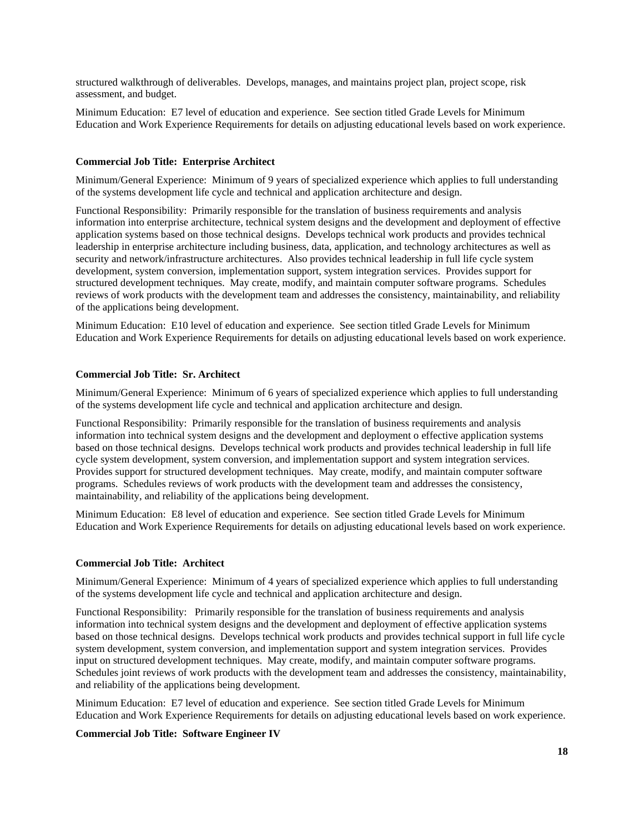structured walkthrough of deliverables. Develops, manages, and maintains project plan, project scope, risk assessment, and budget.

Minimum Education: E7 level of education and experience. See section titled Grade Levels for Minimum Education and Work Experience Requirements for details on adjusting educational levels based on work experience.

### **Commercial Job Title: Enterprise Architect**

Minimum/General Experience: Minimum of 9 years of specialized experience which applies to full understanding of the systems development life cycle and technical and application architecture and design.

Functional Responsibility: Primarily responsible for the translation of business requirements and analysis information into enterprise architecture, technical system designs and the development and deployment of effective application systems based on those technical designs. Develops technical work products and provides technical leadership in enterprise architecture including business, data, application, and technology architectures as well as security and network/infrastructure architectures. Also provides technical leadership in full life cycle system development, system conversion, implementation support, system integration services. Provides support for structured development techniques. May create, modify, and maintain computer software programs. Schedules reviews of work products with the development team and addresses the consistency, maintainability, and reliability of the applications being development.

Minimum Education: E10 level of education and experience. See section titled Grade Levels for Minimum Education and Work Experience Requirements for details on adjusting educational levels based on work experience.

#### **Commercial Job Title: Sr. Architect**

Minimum/General Experience: Minimum of 6 years of specialized experience which applies to full understanding of the systems development life cycle and technical and application architecture and design.

Functional Responsibility: Primarily responsible for the translation of business requirements and analysis information into technical system designs and the development and deployment o effective application systems based on those technical designs. Develops technical work products and provides technical leadership in full life cycle system development, system conversion, and implementation support and system integration services. Provides support for structured development techniques. May create, modify, and maintain computer software programs. Schedules reviews of work products with the development team and addresses the consistency, maintainability, and reliability of the applications being development.

Minimum Education: E8 level of education and experience. See section titled Grade Levels for Minimum Education and Work Experience Requirements for details on adjusting educational levels based on work experience.

#### **Commercial Job Title: Architect**

Minimum/General Experience: Minimum of 4 years of specialized experience which applies to full understanding of the systems development life cycle and technical and application architecture and design.

Functional Responsibility: Primarily responsible for the translation of business requirements and analysis information into technical system designs and the development and deployment of effective application systems based on those technical designs. Develops technical work products and provides technical support in full life cycle system development, system conversion, and implementation support and system integration services. Provides input on structured development techniques. May create, modify, and maintain computer software programs. Schedules joint reviews of work products with the development team and addresses the consistency, maintainability, and reliability of the applications being development.

Minimum Education: E7 level of education and experience. See section titled Grade Levels for Minimum Education and Work Experience Requirements for details on adjusting educational levels based on work experience.

## **Commercial Job Title: Software Engineer IV**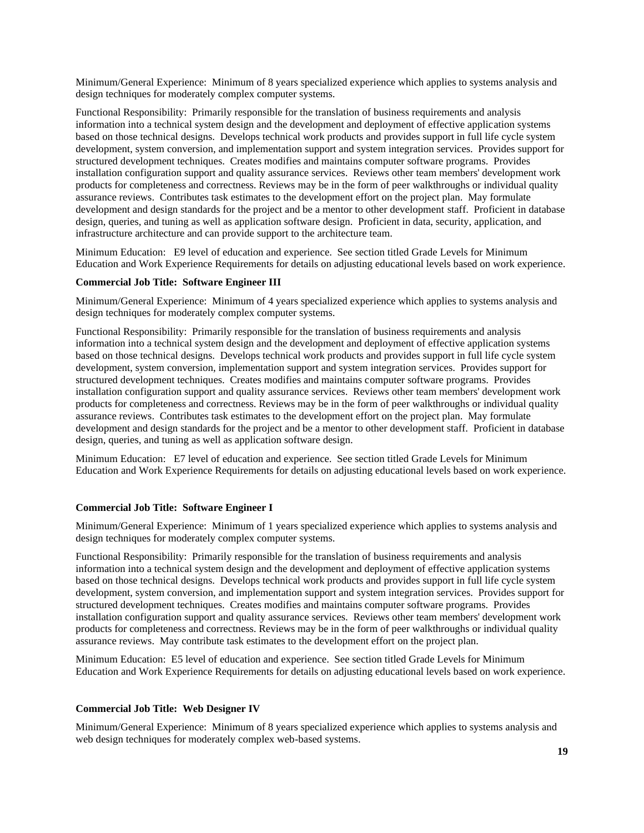Minimum/General Experience: Minimum of 8 years specialized experience which applies to systems analysis and design techniques for moderately complex computer systems.

Functional Responsibility: Primarily responsible for the translation of business requirements and analysis information into a technical system design and the development and deployment of effective application systems based on those technical designs. Develops technical work products and provides support in full life cycle system development, system conversion, and implementation support and system integration services. Provides support for structured development techniques. Creates modifies and maintains computer software programs. Provides installation configuration support and quality assurance services. Reviews other team members' development work products for completeness and correctness. Reviews may be in the form of peer walkthroughs or individual quality assurance reviews. Contributes task estimates to the development effort on the project plan. May formulate development and design standards for the project and be a mentor to other development staff. Proficient in database design, queries, and tuning as well as application software design. Proficient in data, security, application, and infrastructure architecture and can provide support to the architecture team.

Minimum Education: E9 level of education and experience. See section titled Grade Levels for Minimum Education and Work Experience Requirements for details on adjusting educational levels based on work experience.

#### **Commercial Job Title: Software Engineer III**

Minimum/General Experience: Minimum of 4 years specialized experience which applies to systems analysis and design techniques for moderately complex computer systems.

Functional Responsibility: Primarily responsible for the translation of business requirements and analysis information into a technical system design and the development and deployment of effective application systems based on those technical designs. Develops technical work products and provides support in full life cycle system development, system conversion, implementation support and system integration services. Provides support for structured development techniques. Creates modifies and maintains computer software programs. Provides installation configuration support and quality assurance services. Reviews other team members' development work products for completeness and correctness. Reviews may be in the form of peer walkthroughs or individual quality assurance reviews. Contributes task estimates to the development effort on the project plan. May formulate development and design standards for the project and be a mentor to other development staff. Proficient in database design, queries, and tuning as well as application software design.

Minimum Education: E7 level of education and experience. See section titled Grade Levels for Minimum Education and Work Experience Requirements for details on adjusting educational levels based on work experience.

#### **Commercial Job Title: Software Engineer I**

Minimum/General Experience: Minimum of 1 years specialized experience which applies to systems analysis and design techniques for moderately complex computer systems.

Functional Responsibility: Primarily responsible for the translation of business requirements and analysis information into a technical system design and the development and deployment of effective application systems based on those technical designs. Develops technical work products and provides support in full life cycle system development, system conversion, and implementation support and system integration services. Provides support for structured development techniques. Creates modifies and maintains computer software programs. Provides installation configuration support and quality assurance services. Reviews other team members' development work products for completeness and correctness. Reviews may be in the form of peer walkthroughs or individual quality assurance reviews. May contribute task estimates to the development effort on the project plan.

Minimum Education: E5 level of education and experience. See section titled Grade Levels for Minimum Education and Work Experience Requirements for details on adjusting educational levels based on work experience.

#### **Commercial Job Title: Web Designer IV**

Minimum/General Experience: Minimum of 8 years specialized experience which applies to systems analysis and web design techniques for moderately complex web-based systems.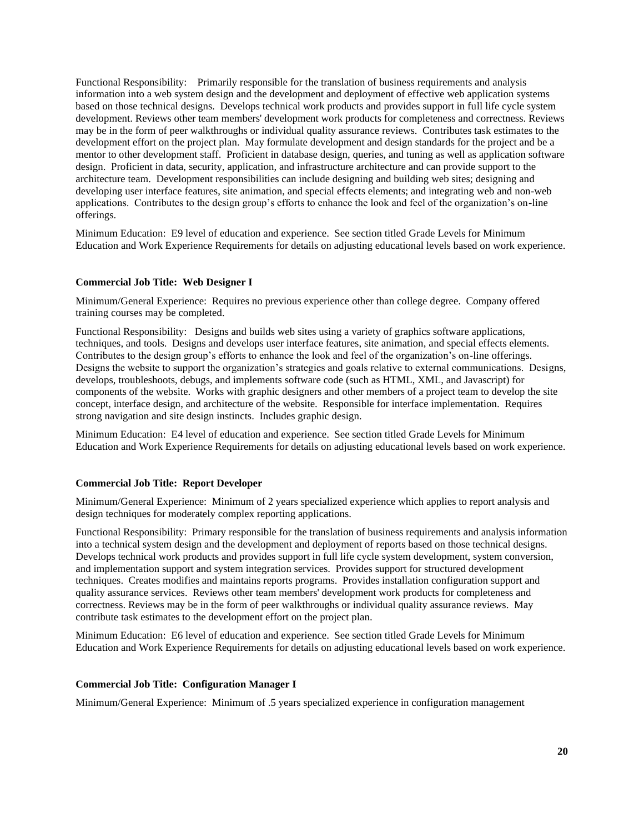Functional Responsibility: Primarily responsible for the translation of business requirements and analysis information into a web system design and the development and deployment of effective web application systems based on those technical designs. Develops technical work products and provides support in full life cycle system development. Reviews other team members' development work products for completeness and correctness. Reviews may be in the form of peer walkthroughs or individual quality assurance reviews. Contributes task estimates to the development effort on the project plan. May formulate development and design standards for the project and be a mentor to other development staff. Proficient in database design, queries, and tuning as well as application software design. Proficient in data, security, application, and infrastructure architecture and can provide support to the architecture team. Development responsibilities can include designing and building web sites; designing and developing user interface features, site animation, and special effects elements; and integrating web and non-web applications. Contributes to the design group's efforts to enhance the look and feel of the organization's on-line offerings.

Minimum Education: E9 level of education and experience. See section titled Grade Levels for Minimum Education and Work Experience Requirements for details on adjusting educational levels based on work experience.

#### **Commercial Job Title: Web Designer I**

Minimum/General Experience: Requires no previous experience other than college degree. Company offered training courses may be completed.

Functional Responsibility: Designs and builds web sites using a variety of graphics software applications, techniques, and tools. Designs and develops user interface features, site animation, and special effects elements. Contributes to the design group's efforts to enhance the look and feel of the organization's on-line offerings. Designs the website to support the organization's strategies and goals relative to external communications. Designs, develops, troubleshoots, debugs, and implements software code (such as HTML, XML, and Javascript) for components of the website. Works with graphic designers and other members of a project team to develop the site concept, interface design, and architecture of the website. Responsible for interface implementation. Requires strong navigation and site design instincts. Includes graphic design.

Minimum Education: E4 level of education and experience. See section titled Grade Levels for Minimum Education and Work Experience Requirements for details on adjusting educational levels based on work experience.

#### **Commercial Job Title: Report Developer**

Minimum/General Experience: Minimum of 2 years specialized experience which applies to report analysis and design techniques for moderately complex reporting applications.

Functional Responsibility: Primary responsible for the translation of business requirements and analysis information into a technical system design and the development and deployment of reports based on those technical designs. Develops technical work products and provides support in full life cycle system development, system conversion, and implementation support and system integration services. Provides support for structured development techniques. Creates modifies and maintains reports programs. Provides installation configuration support and quality assurance services. Reviews other team members' development work products for completeness and correctness. Reviews may be in the form of peer walkthroughs or individual quality assurance reviews. May contribute task estimates to the development effort on the project plan.

Minimum Education: E6 level of education and experience. See section titled Grade Levels for Minimum Education and Work Experience Requirements for details on adjusting educational levels based on work experience.

### **Commercial Job Title: Configuration Manager I**

Minimum/General Experience: Minimum of .5 years specialized experience in configuration management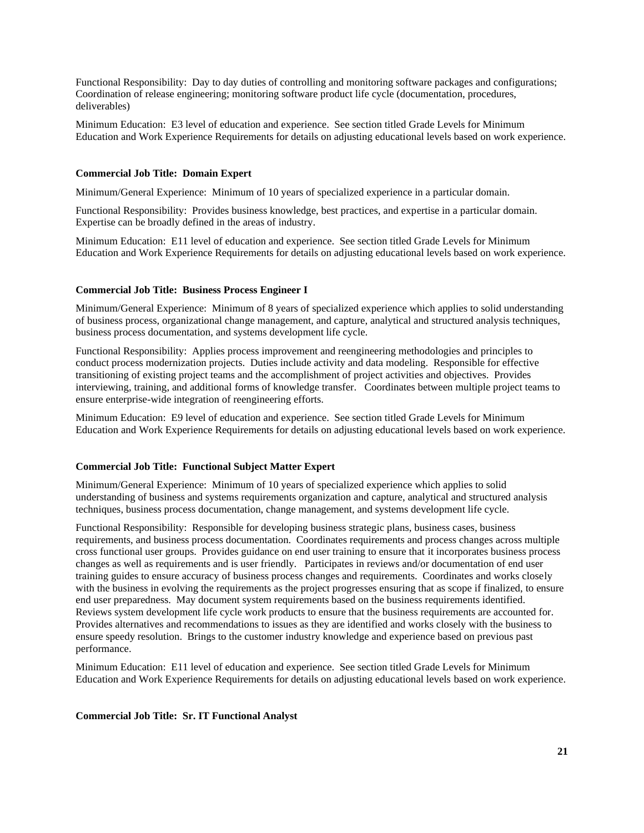Functional Responsibility: Day to day duties of controlling and monitoring software packages and configurations; Coordination of release engineering; monitoring software product life cycle (documentation, procedures, deliverables)

Minimum Education: E3 level of education and experience. See section titled Grade Levels for Minimum Education and Work Experience Requirements for details on adjusting educational levels based on work experience.

### **Commercial Job Title: Domain Expert**

Minimum/General Experience: Minimum of 10 years of specialized experience in a particular domain.

Functional Responsibility: Provides business knowledge, best practices, and expertise in a particular domain. Expertise can be broadly defined in the areas of industry.

Minimum Education: E11 level of education and experience. See section titled Grade Levels for Minimum Education and Work Experience Requirements for details on adjusting educational levels based on work experience.

## **Commercial Job Title: Business Process Engineer I**

Minimum/General Experience: Minimum of 8 years of specialized experience which applies to solid understanding of business process, organizational change management, and capture, analytical and structured analysis techniques, business process documentation, and systems development life cycle.

Functional Responsibility: Applies process improvement and reengineering methodologies and principles to conduct process modernization projects. Duties include activity and data modeling. Responsible for effective transitioning of existing project teams and the accomplishment of project activities and objectives. Provides interviewing, training, and additional forms of knowledge transfer. Coordinates between multiple project teams to ensure enterprise-wide integration of reengineering efforts.

Minimum Education: E9 level of education and experience. See section titled Grade Levels for Minimum Education and Work Experience Requirements for details on adjusting educational levels based on work experience.

### **Commercial Job Title: Functional Subject Matter Expert**

Minimum/General Experience: Minimum of 10 years of specialized experience which applies to solid understanding of business and systems requirements organization and capture, analytical and structured analysis techniques, business process documentation, change management, and systems development life cycle.

Functional Responsibility: Responsible for developing business strategic plans, business cases, business requirements, and business process documentation. Coordinates requirements and process changes across multiple cross functional user groups. Provides guidance on end user training to ensure that it incorporates business process changes as well as requirements and is user friendly. Participates in reviews and/or documentation of end user training guides to ensure accuracy of business process changes and requirements. Coordinates and works closely with the business in evolving the requirements as the project progresses ensuring that as scope if finalized, to ensure end user preparedness. May document system requirements based on the business requirements identified. Reviews system development life cycle work products to ensure that the business requirements are accounted for. Provides alternatives and recommendations to issues as they are identified and works closely with the business to ensure speedy resolution. Brings to the customer industry knowledge and experience based on previous past performance.

Minimum Education: E11 level of education and experience. See section titled Grade Levels for Minimum Education and Work Experience Requirements for details on adjusting educational levels based on work experience.

#### **Commercial Job Title: Sr. IT Functional Analyst**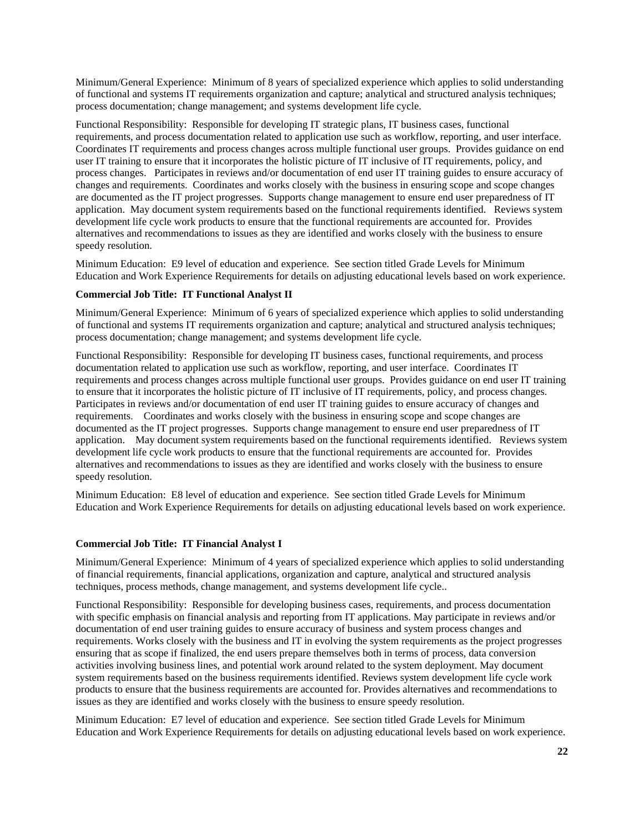Minimum/General Experience: Minimum of 8 years of specialized experience which applies to solid understanding of functional and systems IT requirements organization and capture; analytical and structured analysis techniques; process documentation; change management; and systems development life cycle.

Functional Responsibility: Responsible for developing IT strategic plans, IT business cases, functional requirements, and process documentation related to application use such as workflow, reporting, and user interface. Coordinates IT requirements and process changes across multiple functional user groups. Provides guidance on end user IT training to ensure that it incorporates the holistic picture of IT inclusive of IT requirements, policy, and process changes. Participates in reviews and/or documentation of end user IT training guides to ensure accuracy of changes and requirements. Coordinates and works closely with the business in ensuring scope and scope changes are documented as the IT project progresses. Supports change management to ensure end user preparedness of IT application. May document system requirements based on the functional requirements identified. Reviews system development life cycle work products to ensure that the functional requirements are accounted for. Provides alternatives and recommendations to issues as they are identified and works closely with the business to ensure speedy resolution.

Minimum Education: E9 level of education and experience. See section titled Grade Levels for Minimum Education and Work Experience Requirements for details on adjusting educational levels based on work experience.

## **Commercial Job Title: IT Functional Analyst II**

Minimum/General Experience: Minimum of 6 years of specialized experience which applies to solid understanding of functional and systems IT requirements organization and capture; analytical and structured analysis techniques; process documentation; change management; and systems development life cycle.

Functional Responsibility: Responsible for developing IT business cases, functional requirements, and process documentation related to application use such as workflow, reporting, and user interface. Coordinates IT requirements and process changes across multiple functional user groups. Provides guidance on end user IT training to ensure that it incorporates the holistic picture of IT inclusive of IT requirements, policy, and process changes. Participates in reviews and/or documentation of end user IT training guides to ensure accuracy of changes and requirements. Coordinates and works closely with the business in ensuring scope and scope changes are documented as the IT project progresses. Supports change management to ensure end user preparedness of IT application. May document system requirements based on the functional requirements identified. Reviews system development life cycle work products to ensure that the functional requirements are accounted for. Provides alternatives and recommendations to issues as they are identified and works closely with the business to ensure speedy resolution.

Minimum Education: E8 level of education and experience. See section titled Grade Levels for Minimum Education and Work Experience Requirements for details on adjusting educational levels based on work experience.

### **Commercial Job Title: IT Financial Analyst I**

Minimum/General Experience: Minimum of 4 years of specialized experience which applies to solid understanding of financial requirements, financial applications, organization and capture, analytical and structured analysis techniques, process methods, change management, and systems development life cycle..

Functional Responsibility: Responsible for developing business cases, requirements, and process documentation with specific emphasis on financial analysis and reporting from IT applications. May participate in reviews and/or documentation of end user training guides to ensure accuracy of business and system process changes and requirements. Works closely with the business and IT in evolving the system requirements as the project progresses ensuring that as scope if finalized, the end users prepare themselves both in terms of process, data conversion activities involving business lines, and potential work around related to the system deployment. May document system requirements based on the business requirements identified. Reviews system development life cycle work products to ensure that the business requirements are accounted for. Provides alternatives and recommendations to issues as they are identified and works closely with the business to ensure speedy resolution.

Minimum Education: E7 level of education and experience. See section titled Grade Levels for Minimum Education and Work Experience Requirements for details on adjusting educational levels based on work experience.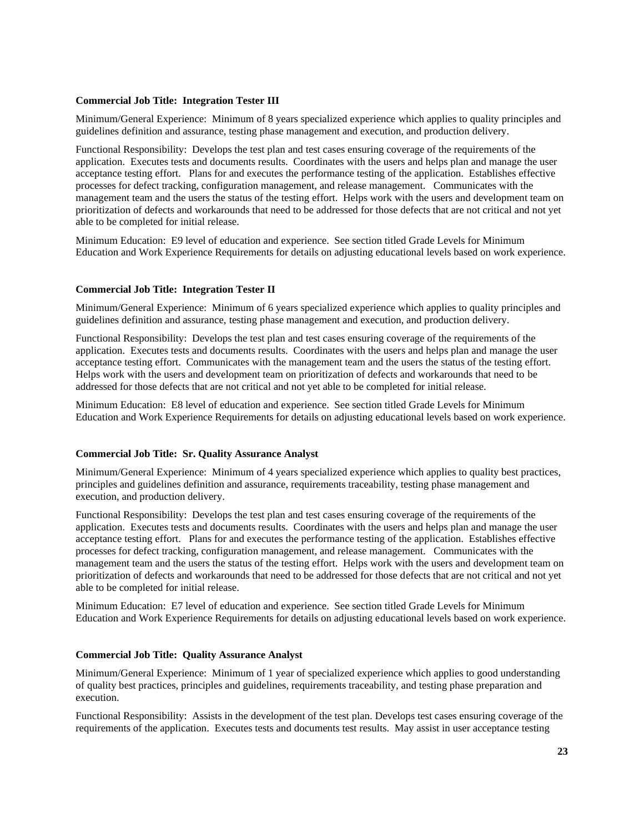### **Commercial Job Title: Integration Tester III**

Minimum/General Experience: Minimum of 8 years specialized experience which applies to quality principles and guidelines definition and assurance, testing phase management and execution, and production delivery.

Functional Responsibility: Develops the test plan and test cases ensuring coverage of the requirements of the application. Executes tests and documents results. Coordinates with the users and helps plan and manage the user acceptance testing effort. Plans for and executes the performance testing of the application. Establishes effective processes for defect tracking, configuration management, and release management. Communicates with the management team and the users the status of the testing effort. Helps work with the users and development team on prioritization of defects and workarounds that need to be addressed for those defects that are not critical and not yet able to be completed for initial release.

Minimum Education: E9 level of education and experience. See section titled Grade Levels for Minimum Education and Work Experience Requirements for details on adjusting educational levels based on work experience.

### **Commercial Job Title: Integration Tester II**

Minimum/General Experience: Minimum of 6 years specialized experience which applies to quality principles and guidelines definition and assurance, testing phase management and execution, and production delivery.

Functional Responsibility: Develops the test plan and test cases ensuring coverage of the requirements of the application. Executes tests and documents results. Coordinates with the users and helps plan and manage the user acceptance testing effort. Communicates with the management team and the users the status of the testing effort. Helps work with the users and development team on prioritization of defects and workarounds that need to be addressed for those defects that are not critical and not yet able to be completed for initial release.

Minimum Education: E8 level of education and experience. See section titled Grade Levels for Minimum Education and Work Experience Requirements for details on adjusting educational levels based on work experience.

#### **Commercial Job Title: Sr. Quality Assurance Analyst**

Minimum/General Experience: Minimum of 4 years specialized experience which applies to quality best practices, principles and guidelines definition and assurance, requirements traceability, testing phase management and execution, and production delivery.

Functional Responsibility: Develops the test plan and test cases ensuring coverage of the requirements of the application. Executes tests and documents results. Coordinates with the users and helps plan and manage the user acceptance testing effort. Plans for and executes the performance testing of the application. Establishes effective processes for defect tracking, configuration management, and release management. Communicates with the management team and the users the status of the testing effort. Helps work with the users and development team on prioritization of defects and workarounds that need to be addressed for those defects that are not critical and not yet able to be completed for initial release.

Minimum Education: E7 level of education and experience. See section titled Grade Levels for Minimum Education and Work Experience Requirements for details on adjusting educational levels based on work experience.

#### **Commercial Job Title: Quality Assurance Analyst**

Minimum/General Experience: Minimum of 1 year of specialized experience which applies to good understanding of quality best practices, principles and guidelines, requirements traceability, and testing phase preparation and execution.

Functional Responsibility: Assists in the development of the test plan. Develops test cases ensuring coverage of the requirements of the application. Executes tests and documents test results. May assist in user acceptance testing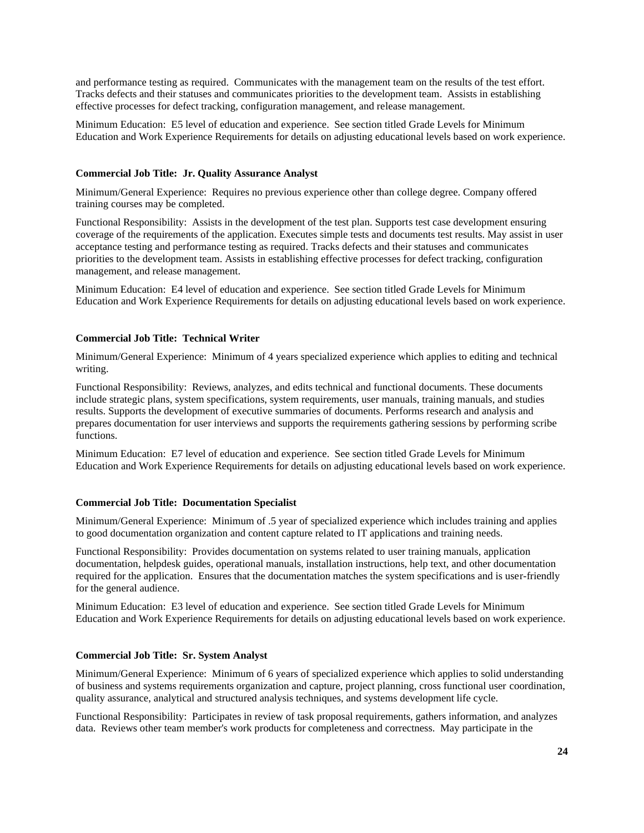and performance testing as required. Communicates with the management team on the results of the test effort. Tracks defects and their statuses and communicates priorities to the development team. Assists in establishing effective processes for defect tracking, configuration management, and release management.

Minimum Education: E5 level of education and experience. See section titled Grade Levels for Minimum Education and Work Experience Requirements for details on adjusting educational levels based on work experience.

### **Commercial Job Title: Jr. Quality Assurance Analyst**

Minimum/General Experience: Requires no previous experience other than college degree. Company offered training courses may be completed.

Functional Responsibility: Assists in the development of the test plan. Supports test case development ensuring coverage of the requirements of the application. Executes simple tests and documents test results. May assist in user acceptance testing and performance testing as required. Tracks defects and their statuses and communicates priorities to the development team. Assists in establishing effective processes for defect tracking, configuration management, and release management.

Minimum Education: E4 level of education and experience. See section titled Grade Levels for Minimum Education and Work Experience Requirements for details on adjusting educational levels based on work experience.

### **Commercial Job Title: Technical Writer**

Minimum/General Experience: Minimum of 4 years specialized experience which applies to editing and technical writing.

Functional Responsibility: Reviews, analyzes, and edits technical and functional documents. These documents include strategic plans, system specifications, system requirements, user manuals, training manuals, and studies results. Supports the development of executive summaries of documents. Performs research and analysis and prepares documentation for user interviews and supports the requirements gathering sessions by performing scribe functions.

Minimum Education: E7 level of education and experience. See section titled Grade Levels for Minimum Education and Work Experience Requirements for details on adjusting educational levels based on work experience.

### **Commercial Job Title: Documentation Specialist**

Minimum/General Experience: Minimum of .5 year of specialized experience which includes training and applies to good documentation organization and content capture related to IT applications and training needs.

Functional Responsibility: Provides documentation on systems related to user training manuals, application documentation, helpdesk guides, operational manuals, installation instructions, help text, and other documentation required for the application. Ensures that the documentation matches the system specifications and is user-friendly for the general audience.

Minimum Education: E3 level of education and experience. See section titled Grade Levels for Minimum Education and Work Experience Requirements for details on adjusting educational levels based on work experience.

#### **Commercial Job Title: Sr. System Analyst**

Minimum/General Experience: Minimum of 6 years of specialized experience which applies to solid understanding of business and systems requirements organization and capture, project planning, cross functional user coordination, quality assurance, analytical and structured analysis techniques, and systems development life cycle.

Functional Responsibility: Participates in review of task proposal requirements, gathers information, and analyzes data. Reviews other team member's work products for completeness and correctness. May participate in the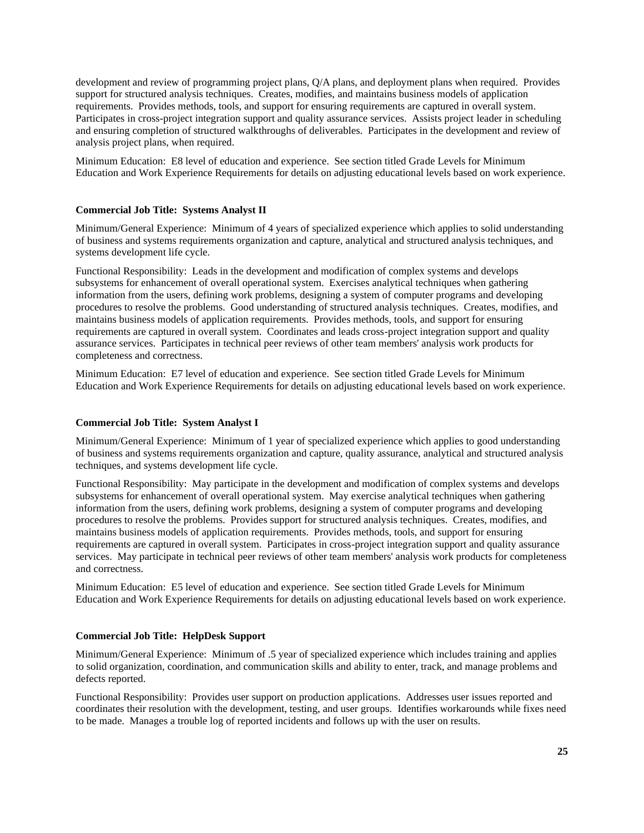development and review of programming project plans, Q/A plans, and deployment plans when required. Provides support for structured analysis techniques. Creates, modifies, and maintains business models of application requirements. Provides methods, tools, and support for ensuring requirements are captured in overall system. Participates in cross-project integration support and quality assurance services. Assists project leader in scheduling and ensuring completion of structured walkthroughs of deliverables. Participates in the development and review of analysis project plans, when required.

Minimum Education: E8 level of education and experience. See section titled Grade Levels for Minimum Education and Work Experience Requirements for details on adjusting educational levels based on work experience.

### **Commercial Job Title: Systems Analyst II**

Minimum/General Experience: Minimum of 4 years of specialized experience which applies to solid understanding of business and systems requirements organization and capture, analytical and structured analysis techniques, and systems development life cycle.

Functional Responsibility: Leads in the development and modification of complex systems and develops subsystems for enhancement of overall operational system. Exercises analytical techniques when gathering information from the users, defining work problems, designing a system of computer programs and developing procedures to resolve the problems. Good understanding of structured analysis techniques. Creates, modifies, and maintains business models of application requirements. Provides methods, tools, and support for ensuring requirements are captured in overall system. Coordinates and leads cross-project integration support and quality assurance services. Participates in technical peer reviews of other team members' analysis work products for completeness and correctness.

Minimum Education: E7 level of education and experience. See section titled Grade Levels for Minimum Education and Work Experience Requirements for details on adjusting educational levels based on work experience.

### **Commercial Job Title: System Analyst I**

Minimum/General Experience: Minimum of 1 year of specialized experience which applies to good understanding of business and systems requirements organization and capture, quality assurance, analytical and structured analysis techniques, and systems development life cycle.

Functional Responsibility: May participate in the development and modification of complex systems and develops subsystems for enhancement of overall operational system. May exercise analytical techniques when gathering information from the users, defining work problems, designing a system of computer programs and developing procedures to resolve the problems. Provides support for structured analysis techniques. Creates, modifies, and maintains business models of application requirements. Provides methods, tools, and support for ensuring requirements are captured in overall system. Participates in cross-project integration support and quality assurance services. May participate in technical peer reviews of other team members' analysis work products for completeness and correctness.

Minimum Education: E5 level of education and experience. See section titled Grade Levels for Minimum Education and Work Experience Requirements for details on adjusting educational levels based on work experience.

## **Commercial Job Title: HelpDesk Support**

Minimum/General Experience: Minimum of .5 year of specialized experience which includes training and applies to solid organization, coordination, and communication skills and ability to enter, track, and manage problems and defects reported.

Functional Responsibility: Provides user support on production applications. Addresses user issues reported and coordinates their resolution with the development, testing, and user groups. Identifies workarounds while fixes need to be made. Manages a trouble log of reported incidents and follows up with the user on results.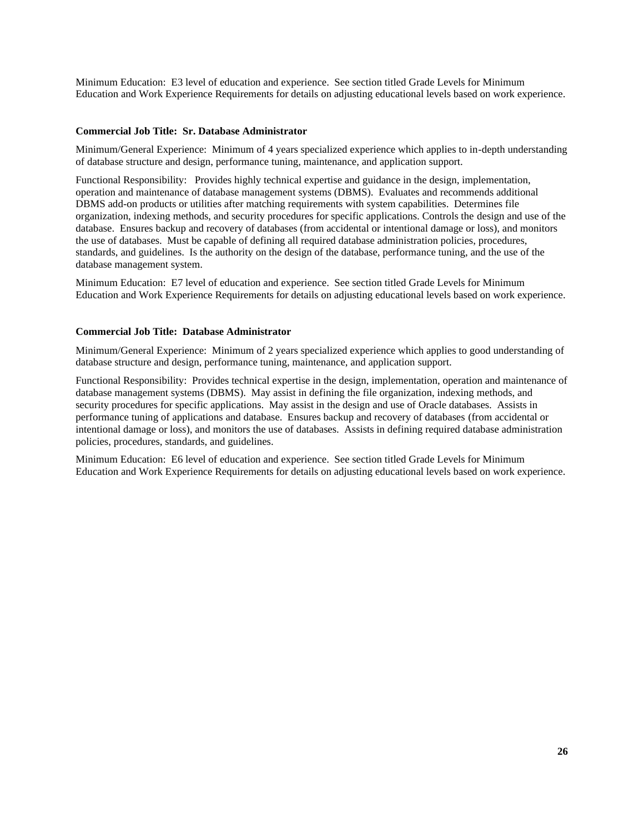Minimum Education: E3 level of education and experience. See section titled Grade Levels for Minimum Education and Work Experience Requirements for details on adjusting educational levels based on work experience.

### **Commercial Job Title: Sr. Database Administrator**

Minimum/General Experience: Minimum of 4 years specialized experience which applies to in-depth understanding of database structure and design, performance tuning, maintenance, and application support.

Functional Responsibility: Provides highly technical expertise and guidance in the design, implementation, operation and maintenance of database management systems (DBMS). Evaluates and recommends additional DBMS add-on products or utilities after matching requirements with system capabilities. Determines file organization, indexing methods, and security procedures for specific applications. Controls the design and use of the database. Ensures backup and recovery of databases (from accidental or intentional damage or loss), and monitors the use of databases. Must be capable of defining all required database administration policies, procedures, standards, and guidelines. Is the authority on the design of the database, performance tuning, and the use of the database management system.

Minimum Education: E7 level of education and experience. See section titled Grade Levels for Minimum Education and Work Experience Requirements for details on adjusting educational levels based on work experience.

### **Commercial Job Title: Database Administrator**

Minimum/General Experience: Minimum of 2 years specialized experience which applies to good understanding of database structure and design, performance tuning, maintenance, and application support.

Functional Responsibility: Provides technical expertise in the design, implementation, operation and maintenance of database management systems (DBMS). May assist in defining the file organization, indexing methods, and security procedures for specific applications. May assist in the design and use of Oracle databases. Assists in performance tuning of applications and database. Ensures backup and recovery of databases (from accidental or intentional damage or loss), and monitors the use of databases. Assists in defining required database administration policies, procedures, standards, and guidelines.

Minimum Education: E6 level of education and experience. See section titled Grade Levels for Minimum Education and Work Experience Requirements for details on adjusting educational levels based on work experience.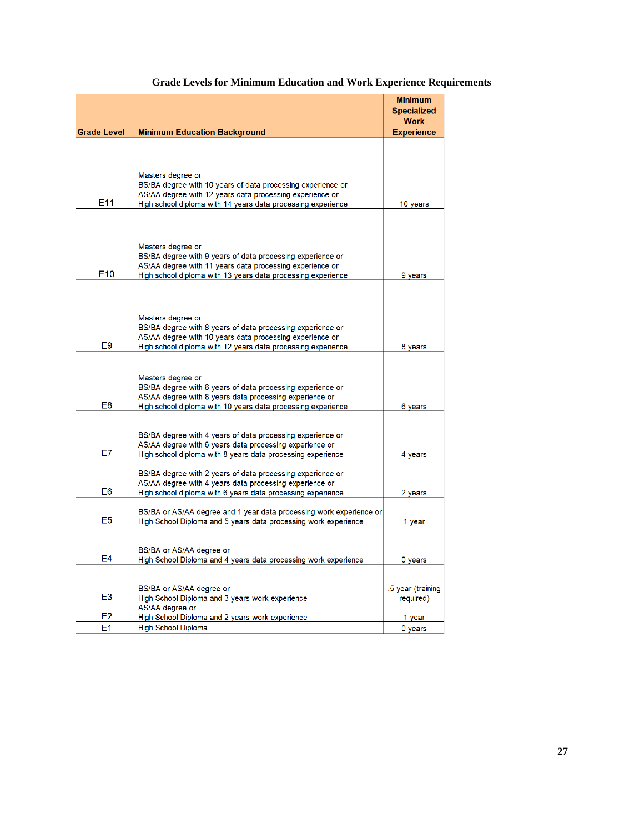|                    |                                                                                                                                        | <b>Minimum</b>                    |
|--------------------|----------------------------------------------------------------------------------------------------------------------------------------|-----------------------------------|
|                    |                                                                                                                                        | <b>Specialized</b><br><b>Work</b> |
| <b>Grade Level</b> | <b>Minimum Education Background</b>                                                                                                    | <b>Experience</b>                 |
|                    |                                                                                                                                        |                                   |
|                    |                                                                                                                                        |                                   |
|                    |                                                                                                                                        |                                   |
|                    | Masters degree or                                                                                                                      |                                   |
|                    | BS/BA degree with 10 years of data processing experience or<br>AS/AA degree with 12 years data processing experience or                |                                   |
| E11                | High school diploma with 14 years data processing experience                                                                           | 10 years                          |
|                    |                                                                                                                                        |                                   |
|                    |                                                                                                                                        |                                   |
|                    | Masters degree or                                                                                                                      |                                   |
|                    | BS/BA degree with 9 years of data processing experience or                                                                             |                                   |
|                    | AS/AA degree with 11 years data processing experience or                                                                               |                                   |
| E <sub>10</sub>    | High school diploma with 13 years data processing experience                                                                           | 9 years                           |
|                    |                                                                                                                                        |                                   |
|                    |                                                                                                                                        |                                   |
|                    | Masters degree or                                                                                                                      |                                   |
|                    | BS/BA degree with 8 years of data processing experience or                                                                             |                                   |
| E <sub>9</sub>     | AS/AA degree with 10 years data processing experience or<br>High school diploma with 12 years data processing experience               | 8 years                           |
|                    |                                                                                                                                        |                                   |
|                    |                                                                                                                                        |                                   |
|                    | Masters degree or                                                                                                                      |                                   |
|                    | BS/BA degree with 6 years of data processing experience or<br>AS/AA degree with 8 years data processing experience or                  |                                   |
| E8                 | High school diploma with 10 years data processing experience                                                                           | 6 years                           |
|                    |                                                                                                                                        |                                   |
|                    |                                                                                                                                        |                                   |
|                    | BS/BA degree with 4 years of data processing experience or<br>AS/AA degree with 6 years data processing experience or                  |                                   |
| E7                 | High school diploma with 8 years data processing experience                                                                            | 4 years                           |
|                    |                                                                                                                                        |                                   |
|                    | BS/BA degree with 2 years of data processing experience or<br>AS/AA degree with 4 years data processing experience or                  |                                   |
| E <sub>6</sub>     | High school diploma with 6 years data processing experience                                                                            | 2 years                           |
|                    |                                                                                                                                        |                                   |
| E5                 | BS/BA or AS/AA degree and 1 year data processing work experience or<br>High School Diploma and 5 years data processing work experience | 1 year                            |
|                    |                                                                                                                                        |                                   |
|                    |                                                                                                                                        |                                   |
| E4                 | BS/BA or AS/AA degree or<br>High School Diploma and 4 years data processing work experience                                            |                                   |
|                    |                                                                                                                                        | 0 years                           |
|                    |                                                                                                                                        |                                   |
| E3                 | BS/BA or AS/AA degree or                                                                                                               | .5 year (training                 |
|                    | High School Diploma and 3 years work experience<br>AS/AA degree or                                                                     | required)                         |
| E <sub>2</sub>     | High School Diploma and 2 years work experience                                                                                        | 1 year                            |
| Ε1                 | <b>High School Diploma</b>                                                                                                             | 0 years                           |

## **Grade Levels for Minimum Education and Work Experience Requirements**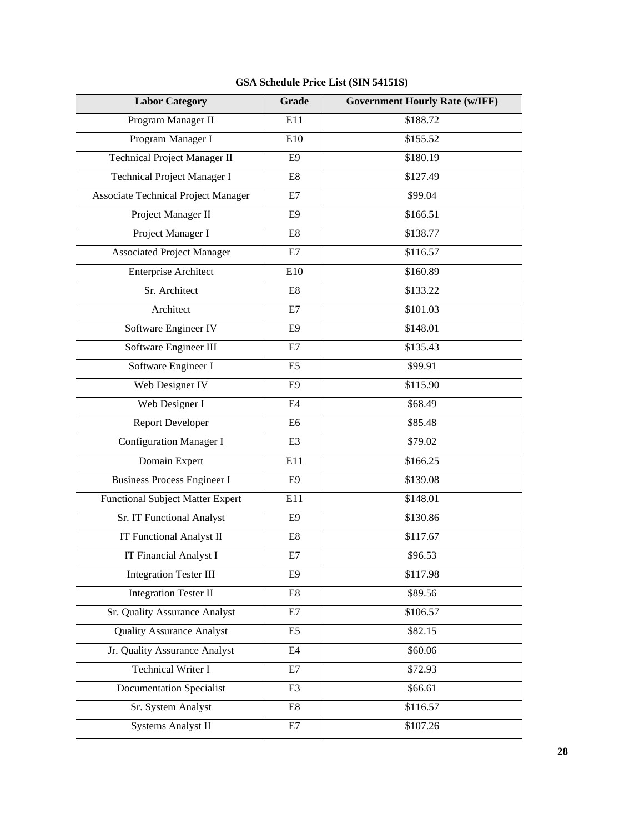| <b>Labor Category</b>                      | Grade          | <b>Government Hourly Rate (w/IFF)</b> |
|--------------------------------------------|----------------|---------------------------------------|
| Program Manager II                         | E11            | \$188.72                              |
| Program Manager I                          | E10            | \$155.52                              |
| Technical Project Manager II               | E <sub>9</sub> | \$180.19                              |
| Technical Project Manager I                | E8             | \$127.49                              |
| <b>Associate Technical Project Manager</b> | E7             | \$99.04                               |
| Project Manager II                         | E <sub>9</sub> | \$166.51                              |
| Project Manager I                          | E8             | \$138.77                              |
| <b>Associated Project Manager</b>          | E7             | \$116.57                              |
| <b>Enterprise Architect</b>                | E10            | \$160.89                              |
| Sr. Architect                              | E8             | \$133.22                              |
| Architect                                  | E7             | \$101.03                              |
| Software Engineer IV                       | E <sub>9</sub> | \$148.01                              |
| Software Engineer III                      | E7             | \$135.43                              |
| Software Engineer I                        | E <sub>5</sub> | \$99.91                               |
| Web Designer IV                            | E <sub>9</sub> | \$115.90                              |
| Web Designer I                             | E4             | \$68.49                               |
| <b>Report Developer</b>                    | E <sub>6</sub> | \$85.48                               |
| <b>Configuration Manager I</b>             | E <sub>3</sub> | \$79.02                               |
| Domain Expert                              | E11            | \$166.25                              |
| <b>Business Process Engineer I</b>         | E <sub>9</sub> | \$139.08                              |
| <b>Functional Subject Matter Expert</b>    | E11            | \$148.01                              |
| Sr. IT Functional Analyst                  | E <sub>9</sub> | \$130.86                              |
| <b>IT Functional Analyst II</b>            | E8             | \$117.67                              |
| <b>IT Financial Analyst I</b>              | E7             | \$96.53                               |
| <b>Integration Tester III</b>              | E <sub>9</sub> | \$117.98                              |
| <b>Integration Tester II</b>               | E8             | \$89.56                               |
| Sr. Quality Assurance Analyst              | E7             | \$106.57                              |
| <b>Quality Assurance Analyst</b>           | E <sub>5</sub> | \$82.15                               |
| Jr. Quality Assurance Analyst              | E4             | \$60.06                               |
| <b>Technical Writer I</b>                  | E7             | \$72.93                               |
| <b>Documentation Specialist</b>            | E <sub>3</sub> | \$66.61                               |
| Sr. System Analyst                         | E8             | \$116.57                              |
| <b>Systems Analyst II</b>                  | E7             | \$107.26                              |

## **GSA Schedule Price List (SIN 54151S)**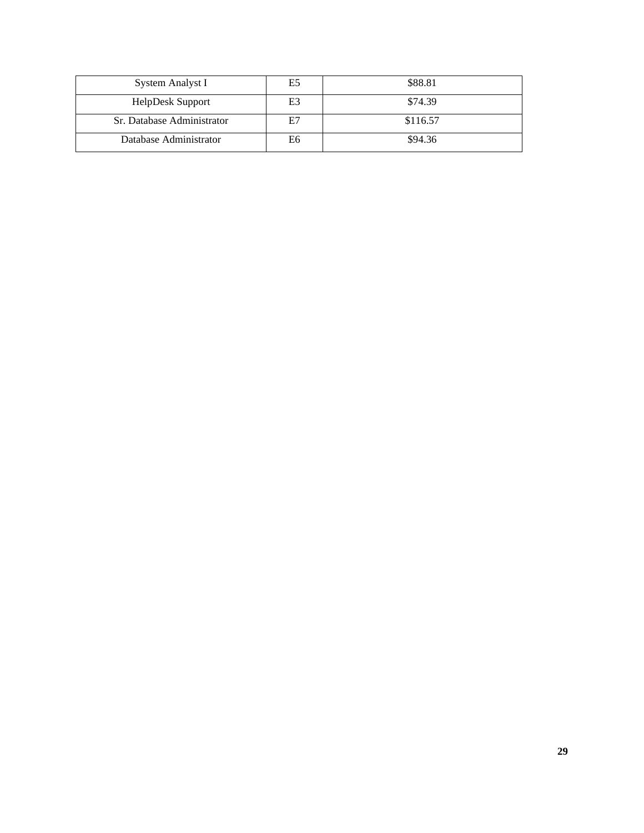| System Analyst I           | E5 | \$88.81  |
|----------------------------|----|----------|
| HelpDesk Support           | E3 | \$74.39  |
| Sr. Database Administrator | E7 | \$116.57 |
| Database Administrator     | E6 | \$94.36  |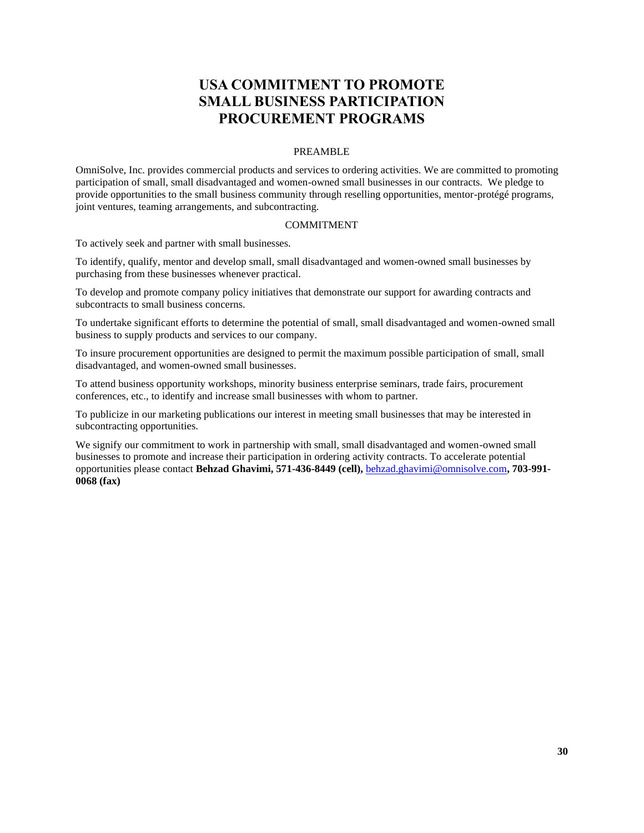# **USA COMMITMENT TO PROMOTE SMALL BUSINESS PARTICIPATION PROCUREMENT PROGRAMS**

## PREAMBLE

<span id="page-29-0"></span>OmniSolve, Inc. provides commercial products and services to ordering activities. We are committed to promoting participation of small, small disadvantaged and women-owned small businesses in our contracts. We pledge to provide opportunities to the small business community through reselling opportunities, mentor-protégé programs, joint ventures, teaming arrangements, and subcontracting.

### COMMITMENT

To actively seek and partner with small businesses.

To identify, qualify, mentor and develop small, small disadvantaged and women-owned small businesses by purchasing from these businesses whenever practical.

To develop and promote company policy initiatives that demonstrate our support for awarding contracts and subcontracts to small business concerns.

To undertake significant efforts to determine the potential of small, small disadvantaged and women-owned small business to supply products and services to our company.

To insure procurement opportunities are designed to permit the maximum possible participation of small, small disadvantaged, and women-owned small businesses.

To attend business opportunity workshops, minority business enterprise seminars, trade fairs, procurement conferences, etc., to identify and increase small businesses with whom to partner.

To publicize in our marketing publications our interest in meeting small businesses that may be interested in subcontracting opportunities.

We signify our commitment to work in partnership with small, small disadvantaged and women-owned small businesses to promote and increase their participation in ordering activity contracts. To accelerate potential opportunities please contact **Behzad Ghavimi, 571-436-8449 (cell),** [behzad.ghavimi@omnisolve.com](mailto:behzad.ghavimi@omnisolve.com)**, 703-991- 0068 (fax)**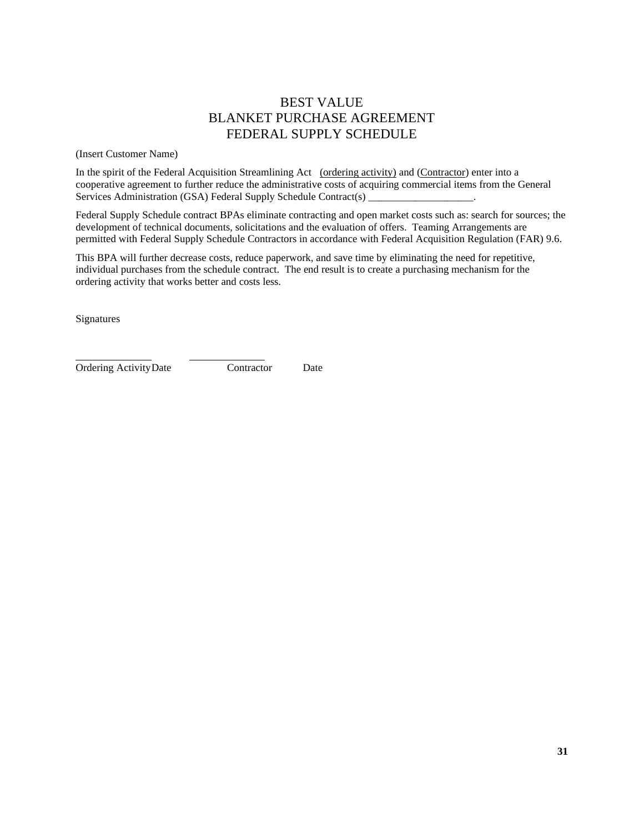# BEST VALUE BLANKET PURCHASE AGREEMENT FEDERAL SUPPLY SCHEDULE

(Insert Customer Name)

In the spirit of the Federal Acquisition Streamlining Act (ordering activity) and (Contractor) enter into a cooperative agreement to further reduce the administrative costs of acquiring commercial items from the General Services Administration (GSA) Federal Supply Schedule Contract(s)

Federal Supply Schedule contract BPAs eliminate contracting and open market costs such as: search for sources; the development of technical documents, solicitations and the evaluation of offers. Teaming Arrangements are permitted with Federal Supply Schedule Contractors in accordance with Federal Acquisition Regulation (FAR) 9.6.

This BPA will further decrease costs, reduce paperwork, and save time by eliminating the need for repetitive, individual purchases from the schedule contract. The end result is to create a purchasing mechanism for the ordering activity that works better and costs less.

Signatures

Ordering ActivityDate Contractor Date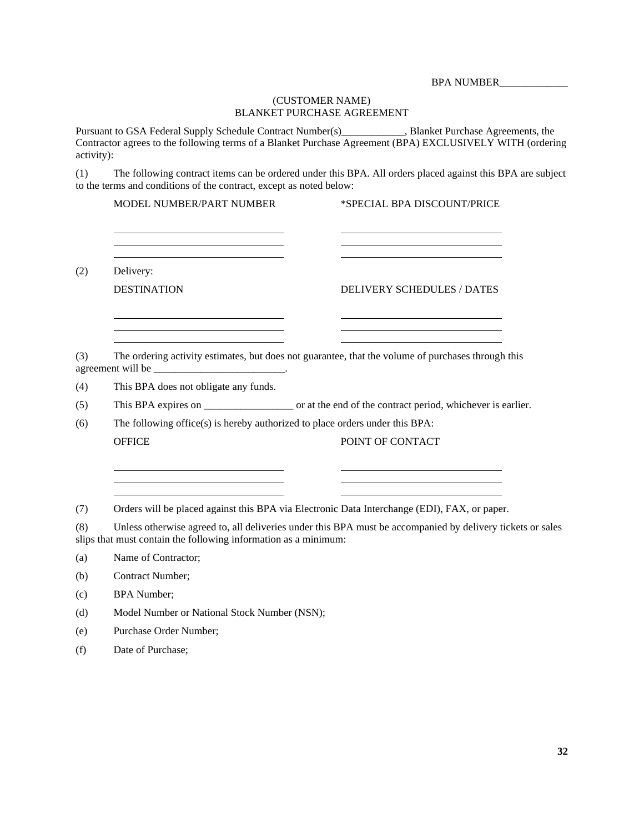BPA NUMBER\_\_\_\_\_\_\_\_\_\_\_\_\_

## (CUSTOMER NAME) BLANKET PURCHASE AGREEMENT

Pursuant to GSA Federal Supply Schedule Contract Number(s)\_\_\_\_\_\_\_\_\_\_\_\_, Blanket Purchase Agreements, the Contractor agrees to the following terms of a Blanket Purchase Agreement (BPA) EXCLUSIVELY WITH (ordering activity):

(1) The following contract items can be ordered under this BPA. All orders placed against this BPA are subject to the terms and conditions of the contract, except as noted below:

<u> 1980 - Johann Barbara, martxa alemaniar a</u>

MODEL NUMBER/PART NUMBER \*SPECIAL BPA DISCOUNT/PRICE

(2) Delivery:

DESTINATION DELIVERY SCHEDULES / DATES

<u> The Communication of the Communication of the Communication of the Communication of the Communication of the Communication of the Communication of the Communication of the Communication of the Communication of the Commun</u>

(3) The ordering activity estimates, but does not guarantee, that the volume of purchases through this agreement will be

(4) This BPA does not obligate any funds.

(5) This BPA expires on \_\_\_\_\_\_\_\_\_\_\_\_\_\_\_\_\_ or at the end of the contract period, whichever is earlier.

(6) The following office(s) is hereby authorized to place orders under this BPA: OFFICE POINT OF CONTACT

(7) Orders will be placed against this BPA via Electronic Data Interchange (EDI), FAX, or paper.

(8) Unless otherwise agreed to, all deliveries under this BPA must be accompanied by delivery tickets or sales slips that must contain the following information as a minimum:

(a) Name of Contractor;

(b) Contract Number;

(c) BPA Number;

(d) Model Number or National Stock Number (NSN);

(e) Purchase Order Number;

(f) Date of Purchase;